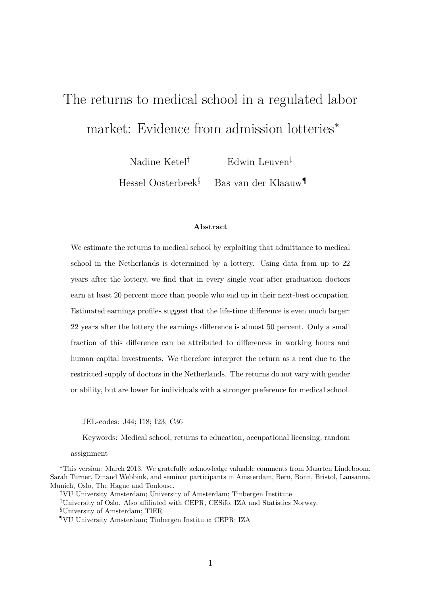# The returns to medical school in a regulated labor market: Evidence from admission lotteries<sup>∗</sup>

Nadine Ketel<sup>†</sup> Edwin Leuven<sup>‡</sup> Hessel Oosterbeek§ Bas van der Klaauw¶

#### **Abstract**

We estimate the returns to medical school by exploiting that admittance to medical school in the Netherlands is determined by a lottery. Using data from up to 22 years after the lottery, we find that in every single year after graduation doctors earn at least 20 percent more than people who end up in their next-best occupation. Estimated earnings profiles suggest that the life-time difference is even much larger: 22 years after the lottery the earnings difference is almost 50 percent. Only a small fraction of this difference can be attributed to differences in working hours and human capital investments. We therefore interpret the return as a rent due to the restricted supply of doctors in the Netherlands. The returns do not vary with gender or ability, but are lower for individuals with a stronger preference for medical school.

JEL-codes: J44; I18; I23; C36

Keywords: Medical school, returns to education, occupational licensing, random

assignment

<sup>∗</sup>This version: March 2013. We gratefully acknowledge valuable comments from Maarten Lindeboom, Sarah Turner, Dinand Webbink, and seminar participants in Amsterdam, Bern, Bonn, Bristol, Lausanne, Munich, Oslo, The Hague and Toulouse.

<sup>†</sup>VU University Amsterdam; University of Amsterdam; Tinbergen Institute

<sup>‡</sup>University of Oslo. Also affiliated with CEPR, CESifo, IZA and Statistics Norway.

<sup>§</sup>University of Amsterdam; TIER

<sup>¶</sup>VU University Amsterdam; Tinbergen Institute; CEPR; IZA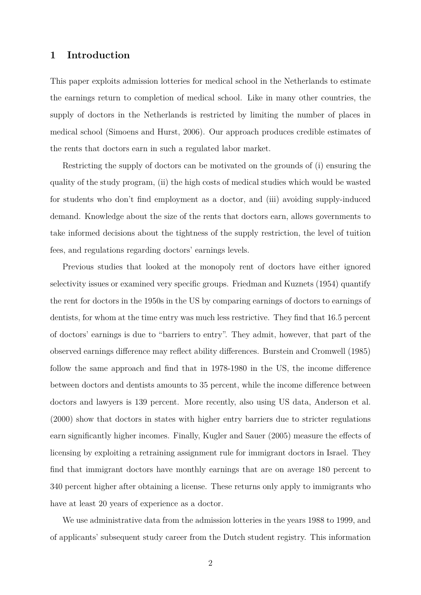# **1 Introduction**

This paper exploits admission lotteries for medical school in the Netherlands to estimate the earnings return to completion of medical school. Like in many other countries, the supply of doctors in the Netherlands is restricted by limiting the number of places in medical school (Simoens and Hurst, 2006). Our approach produces credible estimates of the rents that doctors earn in such a regulated labor market.

Restricting the supply of doctors can be motivated on the grounds of (i) ensuring the quality of the study program, (ii) the high costs of medical studies which would be wasted for students who don't find employment as a doctor, and (iii) avoiding supply-induced demand. Knowledge about the size of the rents that doctors earn, allows governments to take informed decisions about the tightness of the supply restriction, the level of tuition fees, and regulations regarding doctors' earnings levels.

Previous studies that looked at the monopoly rent of doctors have either ignored selectivity issues or examined very specific groups. Friedman and Kuznets (1954) quantify the rent for doctors in the 1950s in the US by comparing earnings of doctors to earnings of dentists, for whom at the time entry was much less restrictive. They find that 16.5 percent of doctors' earnings is due to "barriers to entry". They admit, however, that part of the observed earnings difference may reflect ability differences. Burstein and Cromwell (1985) follow the same approach and find that in 1978-1980 in the US, the income difference between doctors and dentists amounts to 35 percent, while the income difference between doctors and lawyers is 139 percent. More recently, also using US data, Anderson et al. (2000) show that doctors in states with higher entry barriers due to stricter regulations earn significantly higher incomes. Finally, Kugler and Sauer (2005) measure the effects of licensing by exploiting a retraining assignment rule for immigrant doctors in Israel. They find that immigrant doctors have monthly earnings that are on average 180 percent to 340 percent higher after obtaining a license. These returns only apply to immigrants who have at least 20 years of experience as a doctor.

We use administrative data from the admission lotteries in the years 1988 to 1999, and of applicants' subsequent study career from the Dutch student registry. This information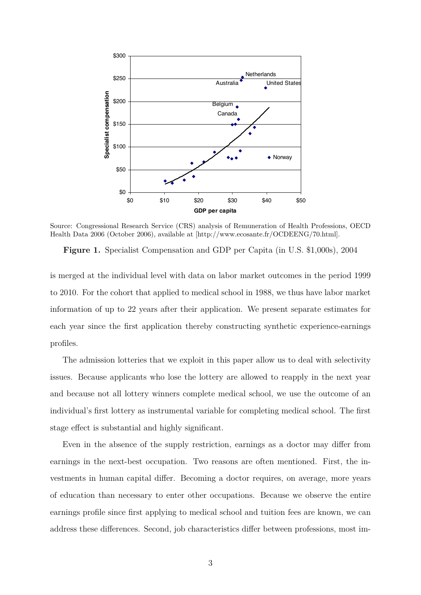

 $\frac{1}{2006}$  (October 2006) argilable at  $[http://www.cosanta.fr/OCDFFNC/70]$ Health Data 2006 (October 2006), available at [http://www.ecosante.fr/OCDEENG/70.html]. Source: Congressional Research Service (CRS) analysis of Remuneration of Health Professions, OECD

**Figure 1.** Specialist Compensation and GDP per Capita (in U.S. \$1,000s), 2004

Amounts from previous years are trended up to 2004 dollars using the annualized Bureau of Labor is merged at the individual level with data on labor market outcomes in the period 1999  $\mu_{\text{B}}$  cohort that annlied to modical sabasel in  $1088$ , we thus have to 2010. For the cohort that applied to medical school in 1988, we thus have labor market of up to 22 years after their application. We present separate information of up to 22 years after their application. We present separate estimates for self-employed general practitioners: in the U.S., salaried general practitioners earn \$134,600, each year since the first application thereby constructing synthetic experience-earnings profiles.

The admission lotteries that we exploit in this paper allow us to deal with selectivity issues. Because applicants who lose the lottery are allowed to reapply in the next year and because not all lottery winners complete medical school, we use the outcome of an individual's first lottery as instrumental variable for completing medical school. The first stage effect is substantial and highly significant.

Even in the absence of the supply restriction, earnings as a doctor may differ from earnings in the next-best occupation. Two reasons are often mentioned. First, the investments in human capital differ. Becoming a doctor requires, on average, more years of education than necessary to enter other occupations. Because we observe the entire earnings profile since first applying to medical school and tuition fees are known, we can address these differences. Second, job characteristics differ between professions, most im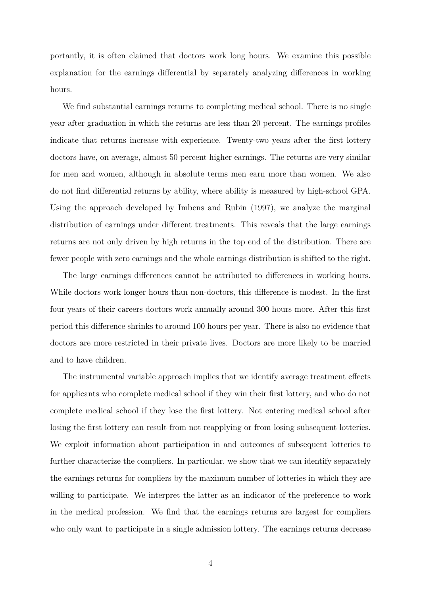portantly, it is often claimed that doctors work long hours. We examine this possible explanation for the earnings differential by separately analyzing differences in working hours.

We find substantial earnings returns to completing medical school. There is no single year after graduation in which the returns are less than 20 percent. The earnings profiles indicate that returns increase with experience. Twenty-two years after the first lottery doctors have, on average, almost 50 percent higher earnings. The returns are very similar for men and women, although in absolute terms men earn more than women. We also do not find differential returns by ability, where ability is measured by high-school GPA. Using the approach developed by Imbens and Rubin (1997), we analyze the marginal distribution of earnings under different treatments. This reveals that the large earnings returns are not only driven by high returns in the top end of the distribution. There are fewer people with zero earnings and the whole earnings distribution is shifted to the right.

The large earnings differences cannot be attributed to differences in working hours. While doctors work longer hours than non-doctors, this difference is modest. In the first four years of their careers doctors work annually around 300 hours more. After this first period this difference shrinks to around 100 hours per year. There is also no evidence that doctors are more restricted in their private lives. Doctors are more likely to be married and to have children.

The instrumental variable approach implies that we identify average treatment effects for applicants who complete medical school if they win their first lottery, and who do not complete medical school if they lose the first lottery. Not entering medical school after losing the first lottery can result from not reapplying or from losing subsequent lotteries. We exploit information about participation in and outcomes of subsequent lotteries to further characterize the compliers. In particular, we show that we can identify separately the earnings returns for compliers by the maximum number of lotteries in which they are willing to participate. We interpret the latter as an indicator of the preference to work in the medical profession. We find that the earnings returns are largest for compliers who only want to participate in a single admission lottery. The earnings returns decrease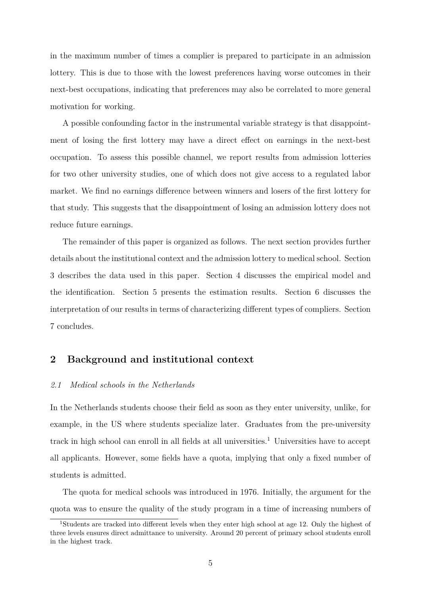in the maximum number of times a complier is prepared to participate in an admission lottery. This is due to those with the lowest preferences having worse outcomes in their next-best occupations, indicating that preferences may also be correlated to more general motivation for working.

A possible confounding factor in the instrumental variable strategy is that disappointment of losing the first lottery may have a direct effect on earnings in the next-best occupation. To assess this possible channel, we report results from admission lotteries for two other university studies, one of which does not give access to a regulated labor market. We find no earnings difference between winners and losers of the first lottery for that study. This suggests that the disappointment of losing an admission lottery does not reduce future earnings.

The remainder of this paper is organized as follows. The next section provides further details about the institutional context and the admission lottery to medical school. Section 3 describes the data used in this paper. Section 4 discusses the empirical model and the identification. Section 5 presents the estimation results. Section 6 discusses the interpretation of our results in terms of characterizing different types of compliers. Section 7 concludes.

# **2 Background and institutional context**

### *2.1 Medical schools in the Netherlands*

In the Netherlands students choose their field as soon as they enter university, unlike, for example, in the US where students specialize later. Graduates from the pre-university track in high school can enroll in all fields at all universities.<sup>1</sup> Universities have to accept all applicants. However, some fields have a quota, implying that only a fixed number of students is admitted.

The quota for medical schools was introduced in 1976. Initially, the argument for the quota was to ensure the quality of the study program in a time of increasing numbers of

<sup>1</sup>Students are tracked into different levels when they enter high school at age 12. Only the highest of three levels ensures direct admittance to university. Around 20 percent of primary school students enroll in the highest track.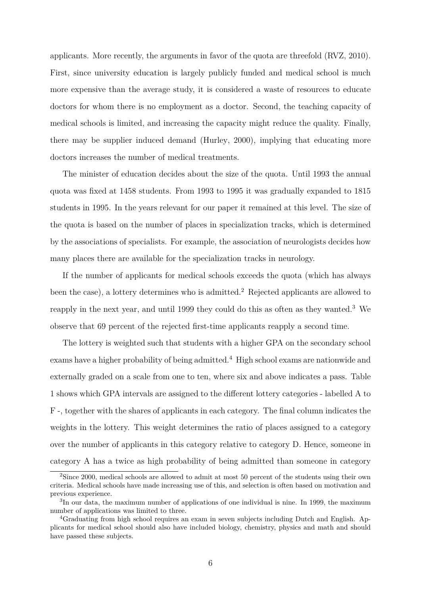applicants. More recently, the arguments in favor of the quota are threefold (RVZ, 2010). First, since university education is largely publicly funded and medical school is much more expensive than the average study, it is considered a waste of resources to educate doctors for whom there is no employment as a doctor. Second, the teaching capacity of medical schools is limited, and increasing the capacity might reduce the quality. Finally, there may be supplier induced demand (Hurley, 2000), implying that educating more doctors increases the number of medical treatments.

The minister of education decides about the size of the quota. Until 1993 the annual quota was fixed at 1458 students. From 1993 to 1995 it was gradually expanded to 1815 students in 1995. In the years relevant for our paper it remained at this level. The size of the quota is based on the number of places in specialization tracks, which is determined by the associations of specialists. For example, the association of neurologists decides how many places there are available for the specialization tracks in neurology.

If the number of applicants for medical schools exceeds the quota (which has always been the case), a lottery determines who is admitted.<sup>2</sup> Rejected applicants are allowed to reapply in the next year, and until 1999 they could do this as often as they wanted.<sup>3</sup> We observe that 69 percent of the rejected first-time applicants reapply a second time.

The lottery is weighted such that students with a higher GPA on the secondary school exams have a higher probability of being admitted.<sup>4</sup> High school exams are nationwide and externally graded on a scale from one to ten, where six and above indicates a pass. Table 1 shows which GPA intervals are assigned to the different lottery categories - labelled A to F -, together with the shares of applicants in each category. The final column indicates the weights in the lottery. This weight determines the ratio of places assigned to a category over the number of applicants in this category relative to category D. Hence, someone in category A has a twice as high probability of being admitted than someone in category

<sup>2</sup>Since 2000, medical schools are allowed to admit at most 50 percent of the students using their own criteria. Medical schools have made increasing use of this, and selection is often based on motivation and previous experience.

<sup>&</sup>lt;sup>3</sup>In our data, the maximum number of applications of one individual is nine. In 1999, the maximum number of applications was limited to three.

<sup>4</sup>Graduating from high school requires an exam in seven subjects including Dutch and English. Applicants for medical school should also have included biology, chemistry, physics and math and should have passed these subjects.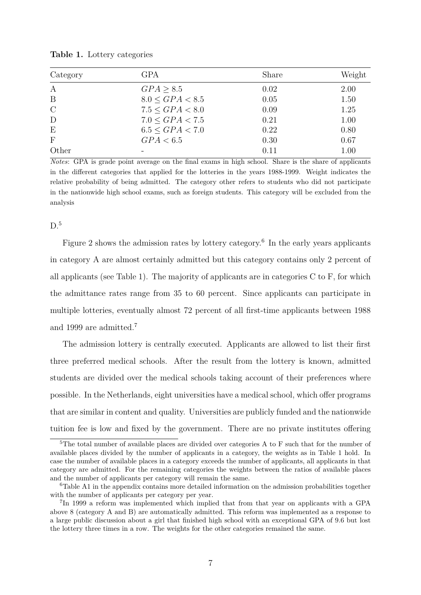| Category      | <b>GPA</b>           | Share | Weight |
|---------------|----------------------|-------|--------|
| $\mathbf{A}$  | GPA > 8.5            | 0.02  | 2.00   |
| B             | $8.0 \leq GPA < 8.5$ | 0.05  | 1.50   |
| $\mathcal{C}$ | $7.5 \le GPA < 8.0$  | 0.09  | 1.25   |
| D             | $7.0 \leq GPA < 7.5$ | 0.21  | 1.00   |
| E             | $6.5 \leq GPA < 7.0$ | 0.22  | 0.80   |
| $\mathbf F$   | GPA < 6.5            | 0.30  | 0.67   |
| Other         |                      | 0.11  | 1.00   |

**Table 1.** Lottery categories

*Notes*: GPA is grade point average on the final exams in high school. Share is the share of applicants in the different categories that applied for the lotteries in the years 1988-1999. Weight indicates the relative probability of being admitted. The category other refers to students who did not participate in the nationwide high school exams, such as foreign students. This category will be excluded from the analysis

#### $D<sup>5</sup>$

Figure 2 shows the admission rates by lottery category.<sup>6</sup> In the early years applicants in category A are almost certainly admitted but this category contains only 2 percent of all applicants (see Table 1). The majority of applicants are in categories C to F, for which the admittance rates range from 35 to 60 percent. Since applicants can participate in multiple lotteries, eventually almost 72 percent of all first-time applicants between 1988 and 1999 are admitted.<sup>7</sup>

The admission lottery is centrally executed. Applicants are allowed to list their first three preferred medical schools. After the result from the lottery is known, admitted students are divided over the medical schools taking account of their preferences where possible. In the Netherlands, eight universities have a medical school, which offer programs that are similar in content and quality. Universities are publicly funded and the nationwide tuition fee is low and fixed by the government. There are no private institutes offering

<sup>&</sup>lt;sup>5</sup>The total number of available places are divided over categories A to F such that for the number of available places divided by the number of applicants in a category, the weights as in Table 1 hold. In case the number of available places in a category exceeds the number of applicants, all applicants in that category are admitted. For the remaining categories the weights between the ratios of available places and the number of applicants per category will remain the same.

<sup>6</sup>Table A1 in the appendix contains more detailed information on the admission probabilities together with the number of applicants per category per year.

<sup>&</sup>lt;sup>7</sup>In 1999 a reform was implemented which implied that from that year on applicants with a GPA above 8 (category A and B) are automatically admitted. This reform was implemented as a response to a large public discussion about a girl that finished high school with an exceptional GPA of 9.6 but lost the lottery three times in a row. The weights for the other categories remained the same.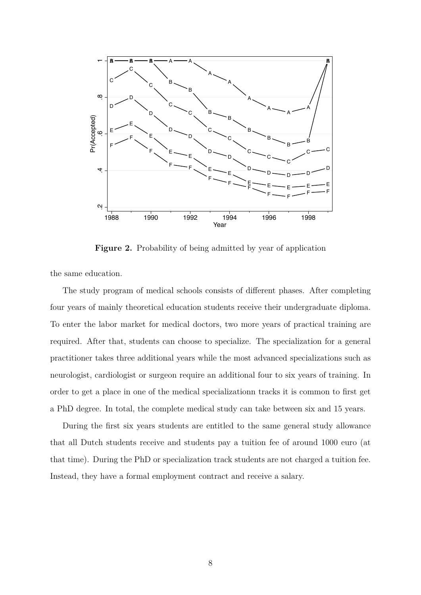

**Figure 2.** Probability of being admitted by year of application

the same education.

The study program of medical schools consists of different phases. After completing four years of mainly theoretical education students receive their undergraduate diploma. To enter the labor market for medical doctors, two more years of practical training are required. After that, students can choose to specialize. The specialization for a general practitioner takes three additional years while the most advanced specializations such as neurologist, cardiologist or surgeon require an additional four to six years of training. In order to get a place in one of the medical specializationn tracks it is common to first get a PhD degree. In total, the complete medical study can take between six and 15 years.

During the first six years students are entitled to the same general study allowance that all Dutch students receive and students pay a tuition fee of around 1000 euro (at that time). During the PhD or specialization track students are not charged a tuition fee. Instead, they have a formal employment contract and receive a salary.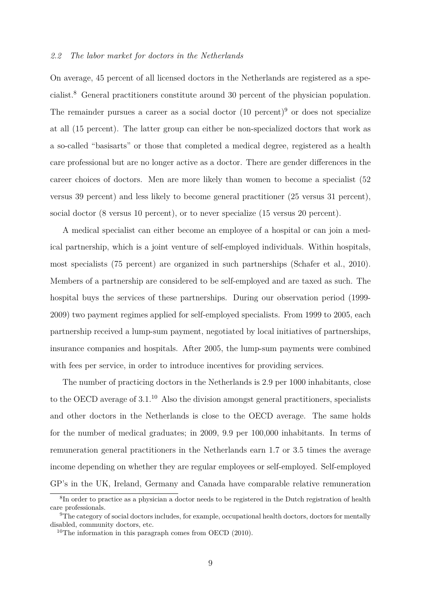#### *2.2 The labor market for doctors in the Netherlands*

On average, 45 percent of all licensed doctors in the Netherlands are registered as a specialist.<sup>8</sup> General practitioners constitute around 30 percent of the physician population. The remainder pursues a career as a social doctor  $(10 \text{ percent})^9$  or does not specialize at all (15 percent). The latter group can either be non-specialized doctors that work as a so-called "basisarts" or those that completed a medical degree, registered as a health care professional but are no longer active as a doctor. There are gender differences in the career choices of doctors. Men are more likely than women to become a specialist (52 versus 39 percent) and less likely to become general practitioner (25 versus 31 percent), social doctor (8 versus 10 percent), or to never specialize (15 versus 20 percent).

A medical specialist can either become an employee of a hospital or can join a medical partnership, which is a joint venture of self-employed individuals. Within hospitals, most specialists (75 percent) are organized in such partnerships (Schafer et al., 2010). Members of a partnership are considered to be self-employed and are taxed as such. The hospital buys the services of these partnerships. During our observation period (1999- 2009) two payment regimes applied for self-employed specialists. From 1999 to 2005, each partnership received a lump-sum payment, negotiated by local initiatives of partnerships, insurance companies and hospitals. After 2005, the lump-sum payments were combined with fees per service, in order to introduce incentives for providing services.

The number of practicing doctors in the Netherlands is 2.9 per 1000 inhabitants, close to the OECD average of  $3.1<sup>10</sup>$  Also the division amongst general practitioners, specialists and other doctors in the Netherlands is close to the OECD average. The same holds for the number of medical graduates; in 2009, 9.9 per 100,000 inhabitants. In terms of remuneration general practitioners in the Netherlands earn 1.7 or 3.5 times the average income depending on whether they are regular employees or self-employed. Self-employed GP's in the UK, Ireland, Germany and Canada have comparable relative remuneration

<sup>8</sup> In order to practice as a physician a doctor needs to be registered in the Dutch registration of health care professionals.

<sup>9</sup>The category of social doctors includes, for example, occupational health doctors, doctors for mentally disabled, community doctors, etc.

<sup>&</sup>lt;sup>10</sup>The information in this paragraph comes from OECD  $(2010)$ .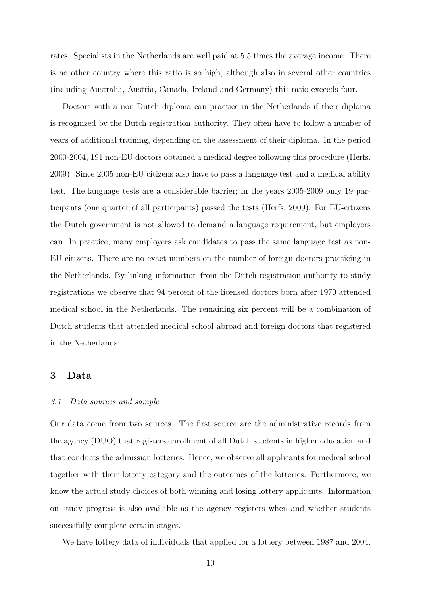rates. Specialists in the Netherlands are well paid at 5.5 times the average income. There is no other country where this ratio is so high, although also in several other countries (including Australia, Austria, Canada, Ireland and Germany) this ratio exceeds four.

Doctors with a non-Dutch diploma can practice in the Netherlands if their diploma is recognized by the Dutch registration authority. They often have to follow a number of years of additional training, depending on the assessment of their diploma. In the period 2000-2004, 191 non-EU doctors obtained a medical degree following this procedure (Herfs, 2009). Since 2005 non-EU citizens also have to pass a language test and a medical ability test. The language tests are a considerable barrier; in the years 2005-2009 only 19 participants (one quarter of all participants) passed the tests (Herfs, 2009). For EU-citizens the Dutch government is not allowed to demand a language requirement, but employers can. In practice, many employers ask candidates to pass the same language test as non-EU citizens. There are no exact numbers on the number of foreign doctors practicing in the Netherlands. By linking information from the Dutch registration authority to study registrations we observe that 94 percent of the licensed doctors born after 1970 attended medical school in the Netherlands. The remaining six percent will be a combination of Dutch students that attended medical school abroad and foreign doctors that registered in the Netherlands.

# **3 Data**

#### *3.1 Data sources and sample*

Our data come from two sources. The first source are the administrative records from the agency (DUO) that registers enrollment of all Dutch students in higher education and that conducts the admission lotteries. Hence, we observe all applicants for medical school together with their lottery category and the outcomes of the lotteries. Furthermore, we know the actual study choices of both winning and losing lottery applicants. Information on study progress is also available as the agency registers when and whether students successfully complete certain stages.

We have lottery data of individuals that applied for a lottery between 1987 and 2004.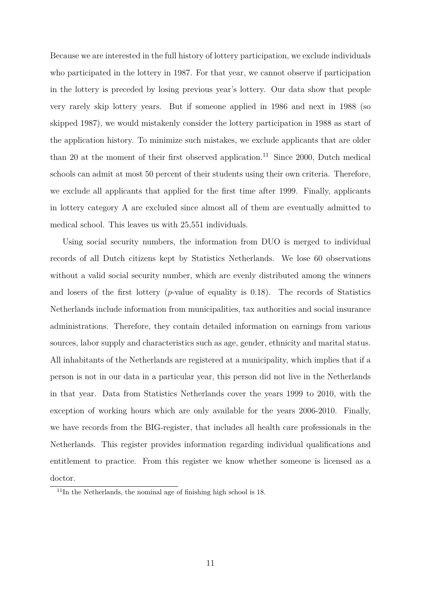Because we are interested in the full history of lottery participation, we exclude individuals who participated in the lottery in 1987. For that year, we cannot observe if participation in the lottery is preceded by losing previous year's lottery. Our data show that people very rarely skip lottery years. But if someone applied in 1986 and next in 1988 (so skipped 1987), we would mistakenly consider the lottery participation in 1988 as start of the application history. To minimize such mistakes, we exclude applicants that are older than 20 at the moment of their first observed application.<sup>11</sup> Since 2000, Dutch medical schools can admit at most 50 percent of their students using their own criteria. Therefore, we exclude all applicants that applied for the first time after 1999. Finally, applicants in lottery category A are excluded since almost all of them are eventually admitted to medical school. This leaves us with 25,551 individuals.

Using social security numbers, the information from DUO is merged to individual records of all Dutch citizens kept by Statistics Netherlands. We lose 60 observations without a valid social security number, which are evenly distributed among the winners and losers of the first lottery (*p*-value of equality is 0.18). The records of Statistics Netherlands include information from municipalities, tax authorities and social insurance administrations. Therefore, they contain detailed information on earnings from various sources, labor supply and characteristics such as age, gender, ethnicity and marital status. All inhabitants of the Netherlands are registered at a municipality, which implies that if a person is not in our data in a particular year, this person did not live in the Netherlands in that year. Data from Statistics Netherlands cover the years 1999 to 2010, with the exception of working hours which are only available for the years 2006-2010. Finally, we have records from the BIG-register, that includes all health care professionals in the Netherlands. This register provides information regarding individual qualifications and entitlement to practice. From this register we know whether someone is licensed as a doctor.

 $11$ In the Netherlands, the nominal age of finishing high school is 18.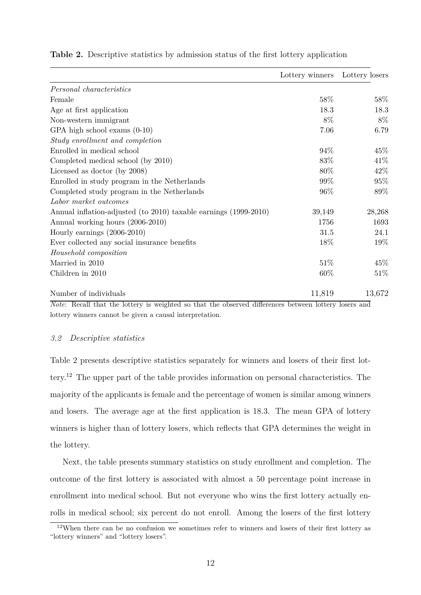|                                                                  | Lottery winners | Lottery losers |
|------------------------------------------------------------------|-----------------|----------------|
| Personal characteristics                                         |                 |                |
| Female                                                           | 58%             | 58%            |
| Age at first application                                         | 18.3            | 18.3           |
| Non-western immigrant                                            | 8%              | 8%             |
| GPA high school exams $(0-10)$                                   | 7.06            | 6.79           |
| Study enrollment and completion                                  |                 |                |
| Enrolled in medical school                                       | 94%             | 45\%           |
| Completed medical school (by 2010)                               | 83%             | 41\%           |
| Licensed as doctor (by 2008)                                     | 80\%            | 42\%           |
| Enrolled in study program in the Netherlands                     | 99%             | 95%            |
| Completed study program in the Netherlands                       | 96%             | 89%            |
| Labor market outcomes                                            |                 |                |
| Annual inflation-adjusted (to 2010) taxable earnings (1999-2010) | 39,149          | 28,268         |
| Annual working hours (2006-2010)                                 | 1756            | 1693           |
| Hourly earnings $(2006-2010)$                                    | 31.5            | 24.1           |
| Ever collected any social insurance benefits                     | 18%             | 19%            |
| Household composition                                            |                 |                |
| Married in 2010                                                  | 51\%            | 45%            |
| Children in 2010                                                 | 60%             | 51%            |
| Number of individuals                                            | 11,819          | 13,672         |

**Table 2.** Descriptive statistics by admission status of the first lottery application

*Note*: Recall that the lottery is weighted so that the observed differences between lottery losers and lottery winners cannot be given a causal interpretation.

#### *3.2 Descriptive statistics*

Table 2 presents descriptive statistics separately for winners and losers of their first lottery.<sup>12</sup> The upper part of the table provides information on personal characteristics. The majority of the applicants is female and the percentage of women is similar among winners and losers. The average age at the first application is 18.3. The mean GPA of lottery winners is higher than of lottery losers, which reflects that GPA determines the weight in the lottery.

Next, the table presents summary statistics on study enrollment and completion. The outcome of the first lottery is associated with almost a 50 percentage point increase in enrollment into medical school. But not everyone who wins the first lottery actually enrolls in medical school; six percent do not enroll. Among the losers of the first lottery

<sup>&</sup>lt;sup>12</sup>When there can be no confusion we sometimes refer to winners and losers of their first lottery as "lottery winners" and "lottery losers".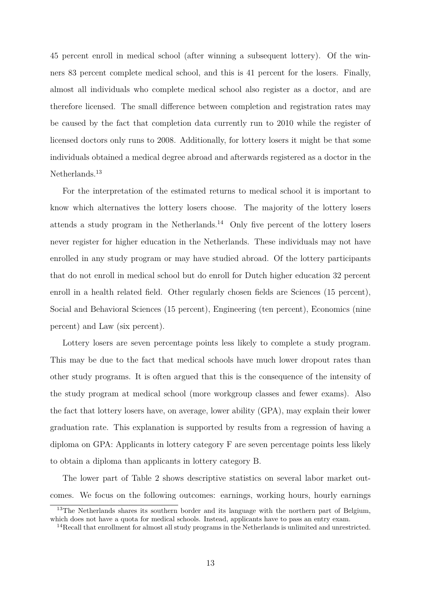45 percent enroll in medical school (after winning a subsequent lottery). Of the winners 83 percent complete medical school, and this is 41 percent for the losers. Finally, almost all individuals who complete medical school also register as a doctor, and are therefore licensed. The small difference between completion and registration rates may be caused by the fact that completion data currently run to 2010 while the register of licensed doctors only runs to 2008. Additionally, for lottery losers it might be that some individuals obtained a medical degree abroad and afterwards registered as a doctor in the Netherlands.<sup>13</sup>

For the interpretation of the estimated returns to medical school it is important to know which alternatives the lottery losers choose. The majority of the lottery losers attends a study program in the Netherlands.<sup>14</sup> Only five percent of the lottery losers never register for higher education in the Netherlands. These individuals may not have enrolled in any study program or may have studied abroad. Of the lottery participants that do not enroll in medical school but do enroll for Dutch higher education 32 percent enroll in a health related field. Other regularly chosen fields are Sciences (15 percent), Social and Behavioral Sciences (15 percent), Engineering (ten percent), Economics (nine percent) and Law (six percent).

Lottery losers are seven percentage points less likely to complete a study program. This may be due to the fact that medical schools have much lower dropout rates than other study programs. It is often argued that this is the consequence of the intensity of the study program at medical school (more workgroup classes and fewer exams). Also the fact that lottery losers have, on average, lower ability (GPA), may explain their lower graduation rate. This explanation is supported by results from a regression of having a diploma on GPA: Applicants in lottery category F are seven percentage points less likely to obtain a diploma than applicants in lottery category B.

The lower part of Table 2 shows descriptive statistics on several labor market outcomes. We focus on the following outcomes: earnings, working hours, hourly earnings

<sup>&</sup>lt;sup>13</sup>The Netherlands shares its southern border and its language with the northern part of Belgium, which does not have a quota for medical schools. Instead, applicants have to pass an entry exam.

<sup>14</sup>Recall that enrollment for almost all study programs in the Netherlands is unlimited and unrestricted.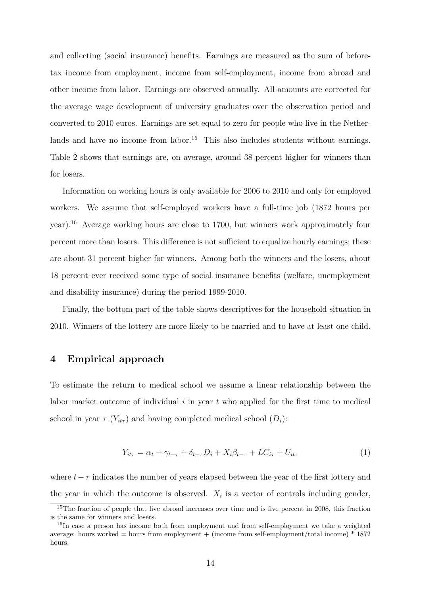and collecting (social insurance) benefits. Earnings are measured as the sum of beforetax income from employment, income from self-employment, income from abroad and other income from labor. Earnings are observed annually. All amounts are corrected for the average wage development of university graduates over the observation period and converted to 2010 euros. Earnings are set equal to zero for people who live in the Netherlands and have no income from labor.<sup>15</sup> This also includes students without earnings. Table 2 shows that earnings are, on average, around 38 percent higher for winners than for losers.

Information on working hours is only available for 2006 to 2010 and only for employed workers. We assume that self-employed workers have a full-time job (1872 hours per year).<sup>16</sup> Average working hours are close to 1700, but winners work approximately four percent more than losers. This difference is not sufficient to equalize hourly earnings; these are about 31 percent higher for winners. Among both the winners and the losers, about 18 percent ever received some type of social insurance benefits (welfare, unemployment and disability insurance) during the period 1999-2010.

Finally, the bottom part of the table shows descriptives for the household situation in 2010. Winners of the lottery are more likely to be married and to have at least one child.

# **4 Empirical approach**

To estimate the return to medical school we assume a linear relationship between the labor market outcome of individual *i* in year *t* who applied for the first time to medical school in year  $\tau$  ( $Y_{it\tau}$ ) and having completed medical school ( $D_i$ ):

$$
Y_{it\tau} = \alpha_t + \gamma_{t-\tau} + \delta_{t-\tau} D_i + X_i \beta_{t-\tau} + LC_{i\tau} + U_{it\tau}
$$
\n<sup>(1)</sup>

where  $t - \tau$  indicates the number of years elapsed between the year of the first lottery and the year in which the outcome is observed.  $X_i$  is a vector of controls including gender,

<sup>&</sup>lt;sup>15</sup>The fraction of people that live abroad increases over time and is five percent in 2008, this fraction is the same for winners and losers.

<sup>&</sup>lt;sup>16</sup>In case a person has income both from employment and from self-employment we take a weighted average: hours worked = hours from employment + (income from self-employment/total income)  $*$  1872 hours.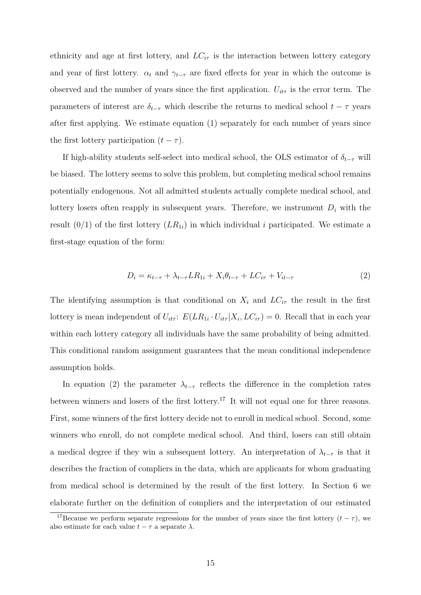ethnicity and age at first lottery, and  $LC_{i\tau}$  is the interaction between lottery category and year of first lottery.  $\alpha_t$  and  $\gamma_{t-\tau}$  are fixed effects for year in which the outcome is observed and the number of years since the first application.  $U_{it\tau}$  is the error term. The parameters of interest are  $\delta_{t-\tau}$  which describe the returns to medical school  $t-\tau$  years after first applying. We estimate equation (1) separately for each number of years since the first lottery participation  $(t - \tau)$ .

If high-ability students self-select into medical school, the OLS estimator of  $\delta_{t-\tau}$  will be biased. The lottery seems to solve this problem, but completing medical school remains potentially endogenous. Not all admitted students actually complete medical school, and lottery losers often reapply in subsequent years. Therefore, we instrument  $D_i$  with the result  $(0/1)$  of the first lottery  $(LR_{1i})$  in which individual *i* participated. We estimate a first-stage equation of the form:

$$
D_i = \kappa_{t-\tau} + \lambda_{t-\tau} LR_{1i} + X_i \theta_{t-\tau} + LC_{i\tau} + V_{it-\tau}
$$
\n
$$
\tag{2}
$$

The identifying assumption is that conditional on  $X_i$  and  $LC_{i\tau}$  the result in the first lottery is mean independent of  $U_{it\tau}$ :  $E(LR_{1i} \cdot U_{it\tau} | X_i, LC_{i\tau}) = 0$ . Recall that in each year within each lottery category all individuals have the same probability of being admitted. This conditional random assignment guarantees that the mean conditional independence assumption holds.

In equation (2) the parameter  $\lambda_{t-\tau}$  reflects the difference in the completion rates between winners and losers of the first lottery.<sup>17</sup> It will not equal one for three reasons. First, some winners of the first lottery decide not to enroll in medical school. Second, some winners who enroll, do not complete medical school. And third, losers can still obtain a medical degree if they win a subsequent lottery. An interpretation of  $\lambda_{t-\tau}$  is that it describes the fraction of compliers in the data, which are applicants for whom graduating from medical school is determined by the result of the first lottery. In Section 6 we elaborate further on the definition of compliers and the interpretation of our estimated

<sup>&</sup>lt;sup>17</sup>Because we perform separate regressions for the number of years since the first lottery  $(t - \tau)$ , we also estimate for each value  $t - \tau$  a separate  $\lambda$ .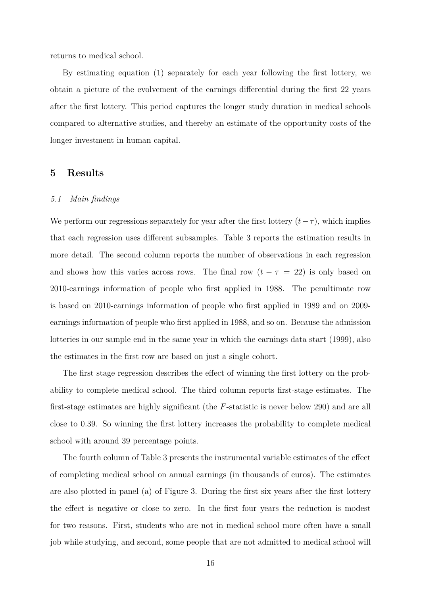returns to medical school.

By estimating equation (1) separately for each year following the first lottery, we obtain a picture of the evolvement of the earnings differential during the first 22 years after the first lottery. This period captures the longer study duration in medical schools compared to alternative studies, and thereby an estimate of the opportunity costs of the longer investment in human capital.

# **5 Results**

#### *5.1 Main findings*

We perform our regressions separately for year after the first lottery  $(t-\tau)$ , which implies that each regression uses different subsamples. Table 3 reports the estimation results in more detail. The second column reports the number of observations in each regression and shows how this varies across rows. The final row  $(t - \tau = 22)$  is only based on 2010-earnings information of people who first applied in 1988. The penultimate row is based on 2010-earnings information of people who first applied in 1989 and on 2009 earnings information of people who first applied in 1988, and so on. Because the admission lotteries in our sample end in the same year in which the earnings data start (1999), also the estimates in the first row are based on just a single cohort.

The first stage regression describes the effect of winning the first lottery on the probability to complete medical school. The third column reports first-stage estimates. The first-stage estimates are highly significant (the *F*-statistic is never below 290) and are all close to 0.39. So winning the first lottery increases the probability to complete medical school with around 39 percentage points.

The fourth column of Table 3 presents the instrumental variable estimates of the effect of completing medical school on annual earnings (in thousands of euros). The estimates are also plotted in panel (a) of Figure 3. During the first six years after the first lottery the effect is negative or close to zero. In the first four years the reduction is modest for two reasons. First, students who are not in medical school more often have a small job while studying, and second, some people that are not admitted to medical school will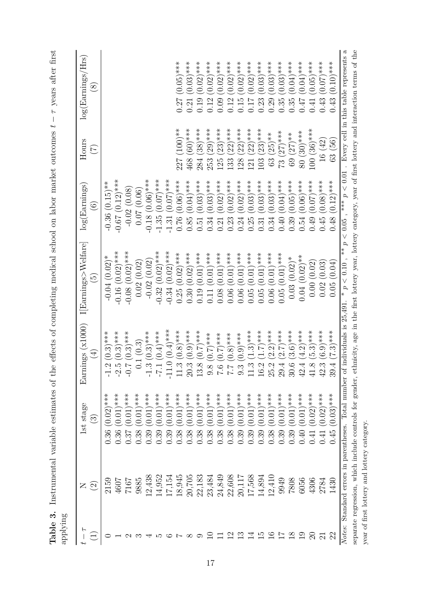| $\overline{r}$      | $\square$                                   | 1st stage                     | (x1000)<br>ings (<br>Earni         | $\rm I[Earnings\verb >WeIfare]$                                                                                                                                        | $\log(\mathrm{Earnings})$                                                         | Hours                         | $\log(\mathrm{Earnings}/\mathrm{Hrs})$ |
|---------------------|---------------------------------------------|-------------------------------|------------------------------------|------------------------------------------------------------------------------------------------------------------------------------------------------------------------|-----------------------------------------------------------------------------------|-------------------------------|----------------------------------------|
|                     | $\widehat{\Omega}$                          | ၹၟ                            | $\bigoplus$                        | $\widetilde{\Xi}$                                                                                                                                                      | $\widehat{\circ}$                                                                 | $\widetilde{\Xi}$             | $\circled{s}$                          |
|                     | 2159                                        | $(0.02)$ ***<br>0.36          | $(0.3)$ ***                        | $-0.04(0.02)*$                                                                                                                                                         | $-0.36(0.15)$ **                                                                  |                               |                                        |
|                     | 4607                                        | $(0.01)$ ***<br>0.36          | $(0.3)$ ***<br>$-2.5$              | $-0.16(0.02)***$                                                                                                                                                       | $-0.67$ (0.12)***                                                                 |                               |                                        |
|                     | 7017                                        | $(0.01)$ ***<br>0.37          | $(0.3)$ ***                        | $-0.08$ $(0.02)***$                                                                                                                                                    | $-0.02(0.08)$                                                                     |                               |                                        |
|                     | 9885                                        | $(0.01)$ ***<br>0.38          | 0.1(0.3)                           | 0.02(0.02)                                                                                                                                                             | 0.07(0.06)                                                                        |                               |                                        |
|                     | 12,438                                      | $(0.01)$ ***<br>0.39          | $(0.3)$ ***<br>$-1.3$              | $-0.02(0.02)$                                                                                                                                                          | $-0.18$ (0.06)***                                                                 |                               |                                        |
|                     | 14,952                                      | $(0.01)$ ***<br>0.39          | $(0.4)$ ***<br>$-7-$               | $-0.32(0.02)***$                                                                                                                                                       | $(0.07)$ ***<br>$-1.35$                                                           |                               |                                        |
|                     | 17,154                                      | $0.01$ <sup>***</sup><br>0.39 | $(0.4)***$<br>$-11.0$              | $(0.02)$ ***<br>$-0.34$                                                                                                                                                | $(0.07)$ ***<br>$-1.31$                                                           |                               |                                        |
|                     | 18,945                                      | $0.01$ <sup>***</sup><br>0.38 | $(0.8)$ ***<br>$11.3$              | $(0.02)$ ***<br>0.25                                                                                                                                                   | $(0.06)$ ***<br>0.76                                                              | $100$ ) **<br>227             | $(0.05)$ ***                           |
|                     | 20,705                                      | $(0.01)$ ***<br>0.38          | $(0.9)$ ***<br>$20.3$              | $(0.02)$ ***<br>0.30                                                                                                                                                   | $(0.04)$ ***<br>0.85                                                              | $(60)****$<br>468             | $(0.03)$ ***<br>0.21                   |
|                     | 183<br>22,                                  | $(0.01)$ ***<br>0.38          | $(0.7)$ ***<br>13.8                | $(0.01)$ ***<br>0.19                                                                                                                                                   | $(0.03)$ ***<br>0.51                                                              | $(38)***$<br>284              | $(0.02)$ ***<br>0.19                   |
|                     | 23,484                                      | $0.01$ <sup>***</sup><br>0.38 | $(0.7)$ ***<br>$9.8\,$             | $(0.01)$ ***                                                                                                                                                           | $(0.03)$ ***<br>0.34                                                              | $(29)$ ***<br>253             | $0.02$ )***<br>0.12                    |
|                     | 24,849                                      | $(0.01)$ ***<br>0.38          | $(0.7)$ ***<br>0.7                 | $(0.01)$ ***<br>0.08                                                                                                                                                   | $(0.02)$ ***<br>0.21                                                              | $(23)$ ***<br>125             | $0.02$ )***<br>0.09                    |
| $\mathfrak{a}$      | 22,608                                      | $(0.01)$ ***<br>0.38          | $0.8$ <sup>***</sup><br>$\Gamma$   | $(0.01)$ ***<br>0.06                                                                                                                                                   | $(0.02)$ ***<br>0.23                                                              | $(22)^{***}$<br>133           | ****<br>(0.02)<br>0.12                 |
|                     | 20,117                                      | $(0.01)$ ***<br>0.39          | $(0.9)$ ***<br>$9.\overline{3}$    | $(0.01)$ ***<br>0.06                                                                                                                                                   | $(0.02)$ ***<br>0.24                                                              | $(22)$ ***<br>128             | $(0.02)$ ***<br>0.15                   |
|                     | 17,568                                      | $(0.01)$ ***<br>0.39          | $(1.3)***$<br>$\frac{3}{11}$       | $(0.01)$ ***<br>0.05                                                                                                                                                   | $(0.03)$ ***<br>0.25                                                              | $(22)****$<br>121             | $(0.02)$ ***<br>71.0                   |
|                     | 14,894                                      | $(0.01)$ ***<br>0.39          | $(1.7)$ ***<br>16.2                | $(0.01)$ ***<br>0.05                                                                                                                                                   | $(0.03)$ ***<br>0.31                                                              | $(23)$ ***<br>103             | $(0.03)$ ***<br>0.23                   |
| అ                   | 12,410                                      | $(0.01)$ ***<br>0.38          | $(2.2)***$<br>25.2                 | $0.06(0.01)$ ***                                                                                                                                                       | $(0.03)$ ***<br>0.34                                                              | $(25)**$<br>63                | $(0.03)$ ***<br>0.29                   |
| $\overline{r}$      | 9949                                        | $(0.01)$ ***<br>0.39          | $(2.7)***$<br>29.4                 | $0.05(0.01)$ ***                                                                                                                                                       | $(0.04)$ ***<br>0.40                                                              | $(27)***$<br>$\frac{13}{2}$   | $(0.03)$ ***<br>0.35                   |
| $\frac{8}{2}$       | 7808                                        | $(0.01)$ ***<br>0.39          | $(3.6)$ ***<br>30.6                | $0.03(0.02)*$                                                                                                                                                          | $(0.05)$ ***<br>0.39                                                              | $(27)**$<br>69                | $(0.04)$ ***<br>0.35                   |
| $\frac{6}{1}$       | 6056                                        | $(0.01)$ ***<br>0.40          | $(4.2)***$<br>42.4                 | $0.04(0.02)**$                                                                                                                                                         | $(0.06)$ ***<br>0.54                                                              | 80 (30) ***                   | $0.04$ )***<br>0.47                    |
| $\Xi$               | 4306                                        | $(0.02)$ ***<br>0.41          | $(5.3)***$<br>∞ฺ<br>$\overline{4}$ | 0.00(0.02)                                                                                                                                                             | $(0.07)$ ***<br>0.49                                                              | $(36)***$<br>100 <sub>1</sub> | $(0.05)$ ***<br>0.41                   |
| $\overline{\Omega}$ | 2784                                        | $(0.02)$ ***<br>0.41          | $(6.9)$ ***<br>42.3                | (0.03)<br>0.02(                                                                                                                                                        | $(0.08)$ ***<br>0.45                                                              | 16(42)                        | $(0.07)$ ***<br>0.43                   |
| 22                  | 1430                                        | $(0.03)$ ***<br>0.45          | $(7.3)***$<br>39                   | (0.04)<br>0.05                                                                                                                                                         | $(0.12)$ ***<br>0.48                                                              | (56)<br>63 <sup>0</sup>       | $(0.10)$ ***<br>0.43                   |
| Notes:              | Standard errors in parentheses.             |                               | Total number of individuals is     | $*$<br>p < 0.10<br>$\star$<br>25,491.                                                                                                                                  | p < 0.01<br>$\begin{array}{c}\n\ast \\ \ast \\ \ast\n\end{array}$<br>$p\,<\,0.05$ |                               | Every cell in this table represents a  |
|                     |                                             |                               |                                    | separate regression, which include controls for gender, ethnicity, age in the first lottery year, lottery category, year of first lottery and interaction terms of the |                                                                                   |                               |                                        |
|                     | year of first lottery and lottery category. |                               |                                    |                                                                                                                                                                        |                                                                                   |                               |                                        |

Table 3. Instrumental variable estimates of the effects of completing medical school on labor market outcomes  $t - \tau$  years after first **Table 3.** Instrumental variable estimates of the effects of completing medical school on labor market outcomes *t* − *τ* years after first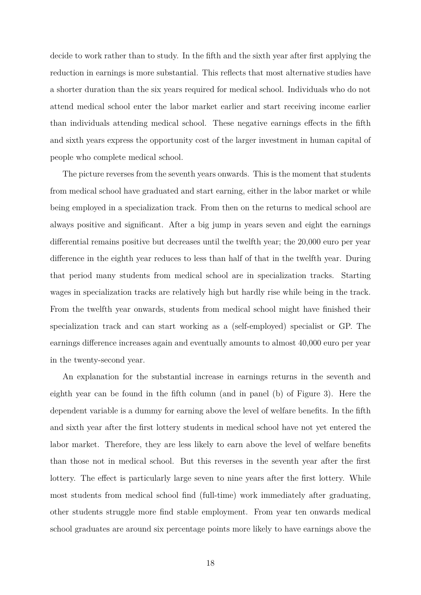decide to work rather than to study. In the fifth and the sixth year after first applying the reduction in earnings is more substantial. This reflects that most alternative studies have a shorter duration than the six years required for medical school. Individuals who do not attend medical school enter the labor market earlier and start receiving income earlier than individuals attending medical school. These negative earnings effects in the fifth and sixth years express the opportunity cost of the larger investment in human capital of people who complete medical school.

The picture reverses from the seventh years onwards. This is the moment that students from medical school have graduated and start earning, either in the labor market or while being employed in a specialization track. From then on the returns to medical school are always positive and significant. After a big jump in years seven and eight the earnings differential remains positive but decreases until the twelfth year; the 20,000 euro per year difference in the eighth year reduces to less than half of that in the twelfth year. During that period many students from medical school are in specialization tracks. Starting wages in specialization tracks are relatively high but hardly rise while being in the track. From the twelfth year onwards, students from medical school might have finished their specialization track and can start working as a (self-employed) specialist or GP. The earnings difference increases again and eventually amounts to almost 40,000 euro per year in the twenty-second year.

An explanation for the substantial increase in earnings returns in the seventh and eighth year can be found in the fifth column (and in panel (b) of Figure 3). Here the dependent variable is a dummy for earning above the level of welfare benefits. In the fifth and sixth year after the first lottery students in medical school have not yet entered the labor market. Therefore, they are less likely to earn above the level of welfare benefits than those not in medical school. But this reverses in the seventh year after the first lottery. The effect is particularly large seven to nine years after the first lottery. While most students from medical school find (full-time) work immediately after graduating, other students struggle more find stable employment. From year ten onwards medical school graduates are around six percentage points more likely to have earnings above the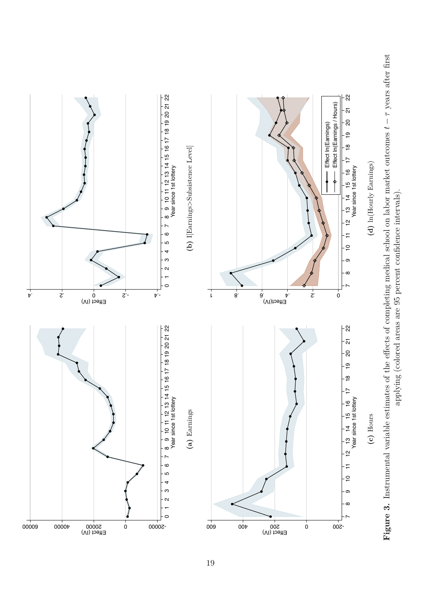

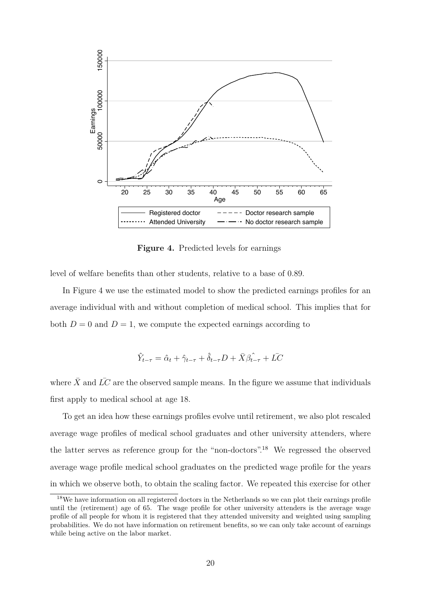

**Figure 4.** Predicted levels for earnings

level of welfare benefits than other students, relative to a base of 0.89.

In Figure 4 we use the estimated model to show the predicted earnings profiles for an average individual with and without completion of medical school. This implies that for both  $D = 0$  and  $D = 1$ , we compute the expected earnings according to

$$
\hat{Y}_{t-\tau} = \hat{\alpha}_t + \hat{\gamma}_{t-\tau} + \hat{\delta}_{t-\tau}D + \bar{X}\hat{\beta}_{t-\tau} + \bar{LC}
$$

where  $\bar{X}$  and  $\bar{LC}$  are the observed sample means. In the figure we assume that individuals first apply to medical school at age 18.

To get an idea how these earnings profiles evolve until retirement, we also plot rescaled average wage profiles of medical school graduates and other university attenders, where the latter serves as reference group for the "non-doctors".<sup>18</sup> We regressed the observed average wage profile medical school graduates on the predicted wage profile for the years in which we observe both, to obtain the scaling factor. We repeated this exercise for other

<sup>&</sup>lt;sup>18</sup>We have information on all registered doctors in the Netherlands so we can plot their earnings profile until the (retirement) age of 65. The wage profile for other university attenders is the average wage profile of all people for whom it is registered that they attended university and weighted using sampling probabilities. We do not have information on retirement benefits, so we can only take account of earnings while being active on the labor market.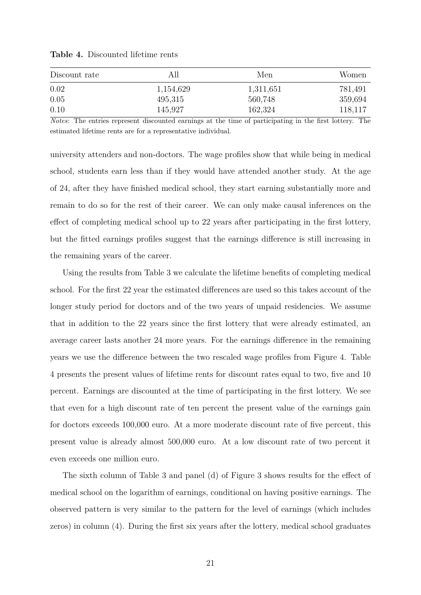| Discount rate | АH        | Men       | Women.  |
|---------------|-----------|-----------|---------|
| 0.02          | 1,154,629 | 1,311,651 | 781,491 |
| 0.05          | 495,315   | 560,748   | 359,694 |
| 0.10          | 145,927   | 162,324   | 118,117 |

**Table 4.** Discounted lifetime rents

*Notes*: The entries represent discounted earnings at the time of participating in the first lottery. The estimated lifetime rents are for a representative individual.

university attenders and non-doctors. The wage profiles show that while being in medical school, students earn less than if they would have attended another study. At the age of 24, after they have finished medical school, they start earning substantially more and remain to do so for the rest of their career. We can only make causal inferences on the effect of completing medical school up to 22 years after participating in the first lottery, but the fitted earnings profiles suggest that the earnings difference is still increasing in the remaining years of the career.

Using the results from Table 3 we calculate the lifetime benefits of completing medical school. For the first 22 year the estimated differences are used so this takes account of the longer study period for doctors and of the two years of unpaid residencies. We assume that in addition to the 22 years since the first lottery that were already estimated, an average career lasts another 24 more years. For the earnings difference in the remaining years we use the difference between the two rescaled wage profiles from Figure 4. Table 4 presents the present values of lifetime rents for discount rates equal to two, five and 10 percent. Earnings are discounted at the time of participating in the first lottery. We see that even for a high discount rate of ten percent the present value of the earnings gain for doctors exceeds 100,000 euro. At a more moderate discount rate of five percent, this present value is already almost 500,000 euro. At a low discount rate of two percent it even exceeds one million euro.

The sixth column of Table 3 and panel (d) of Figure 3 shows results for the effect of medical school on the logarithm of earnings, conditional on having positive earnings. The observed pattern is very similar to the pattern for the level of earnings (which includes zeros) in column (4). During the first six years after the lottery, medical school graduates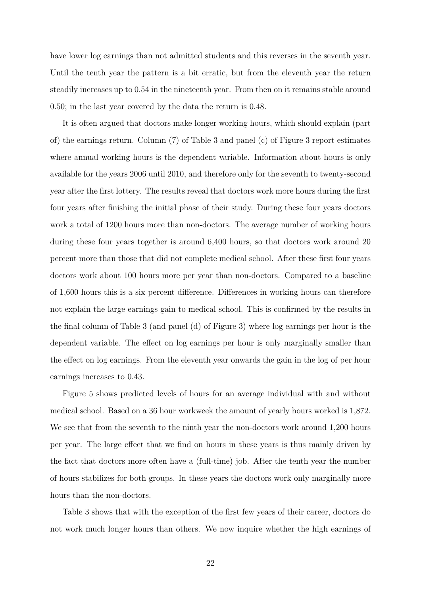have lower log earnings than not admitted students and this reverses in the seventh year. Until the tenth year the pattern is a bit erratic, but from the eleventh year the return steadily increases up to 0.54 in the nineteenth year. From then on it remains stable around 0.50; in the last year covered by the data the return is 0.48.

It is often argued that doctors make longer working hours, which should explain (part of) the earnings return. Column (7) of Table 3 and panel (c) of Figure 3 report estimates where annual working hours is the dependent variable. Information about hours is only available for the years 2006 until 2010, and therefore only for the seventh to twenty-second year after the first lottery. The results reveal that doctors work more hours during the first four years after finishing the initial phase of their study. During these four years doctors work a total of 1200 hours more than non-doctors. The average number of working hours during these four years together is around 6,400 hours, so that doctors work around 20 percent more than those that did not complete medical school. After these first four years doctors work about 100 hours more per year than non-doctors. Compared to a baseline of 1,600 hours this is a six percent difference. Differences in working hours can therefore not explain the large earnings gain to medical school. This is confirmed by the results in the final column of Table 3 (and panel (d) of Figure 3) where log earnings per hour is the dependent variable. The effect on log earnings per hour is only marginally smaller than the effect on log earnings. From the eleventh year onwards the gain in the log of per hour earnings increases to 0.43.

Figure 5 shows predicted levels of hours for an average individual with and without medical school. Based on a 36 hour workweek the amount of yearly hours worked is 1,872. We see that from the seventh to the ninth year the non-doctors work around 1,200 hours per year. The large effect that we find on hours in these years is thus mainly driven by the fact that doctors more often have a (full-time) job. After the tenth year the number of hours stabilizes for both groups. In these years the doctors work only marginally more hours than the non-doctors.

Table 3 shows that with the exception of the first few years of their career, doctors do not work much longer hours than others. We now inquire whether the high earnings of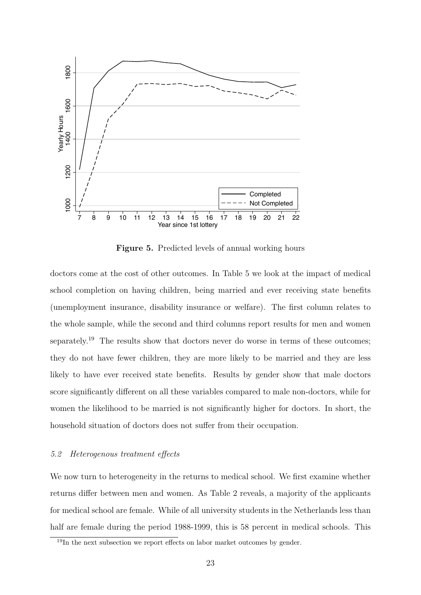

**Figure 5.** Predicted levels of annual working hours

doctors come at the cost of other outcomes. In Table 5 we look at the impact of medical school completion on having children, being married and ever receiving state benefits (unemployment insurance, disability insurance or welfare). The first column relates to the whole sample, while the second and third columns report results for men and women separately.<sup>19</sup> The results show that doctors never do worse in terms of these outcomes; they do not have fewer children, they are more likely to be married and they are less likely to have ever received state benefits. Results by gender show that male doctors score significantly different on all these variables compared to male non-doctors, while for women the likelihood to be married is not significantly higher for doctors. In short, the household situation of doctors does not suffer from their occupation.

#### *5.2 Heterogenous treatment effects*

We now turn to heterogeneity in the returns to medical school. We first examine whether returns differ between men and women. As Table 2 reveals, a majority of the applicants for medical school are female. While of all university students in the Netherlands less than half are female during the period 1988-1999, this is 58 percent in medical schools. This

<sup>&</sup>lt;sup>19</sup>In the next subsection we report effects on labor market outcomes by gender.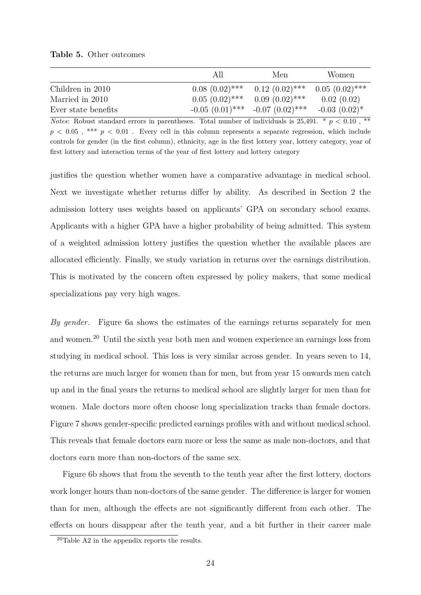|                     | AIL               | Men               | Women              |
|---------------------|-------------------|-------------------|--------------------|
| Children in 2010    | $0.08(0.02)$ ***  | $0.12(0.02)$ ***  | $0.05(0.02)$ ***   |
| Married in 2010     | $0.05(0.02)$ ***  | $0.09(0.02)$ ***  | 0.02(0.02)         |
| Ever state benefits | $-0.05(0.01)$ *** | $-0.07(0.02)$ *** | $-0.03$ $(0.02)^*$ |

*Notes*: Robust standard errors in parentheses. Total number of individuals is  $25.491. * p < 0.10$ , \*\*  $p < 0.05$ , \*\*\*  $p < 0.01$ . Every cell in this column represents a separate regression, which include controls for gender (in the first column), ethnicity, age in the first lottery year, lottery category, year of first lottery and interaction terms of the year of first lottery and lottery category

justifies the question whether women have a comparative advantage in medical school. Next we investigate whether returns differ by ability. As described in Section 2 the admission lottery uses weights based on applicants' GPA on secondary school exams. Applicants with a higher GPA have a higher probability of being admitted. This system of a weighted admission lottery justifies the question whether the available places are allocated efficiently. Finally, we study variation in returns over the earnings distribution. This is motivated by the concern often expressed by policy makers, that some medical specializations pay very high wages.

*By gender.* Figure 6a shows the estimates of the earnings returns separately for men and women.<sup>20</sup> Until the sixth year both men and women experience an earnings loss from studying in medical school. This loss is very similar across gender. In years seven to 14, the returns are much larger for women than for men, but from year 15 onwards men catch up and in the final years the returns to medical school are slightly larger for men than for women. Male doctors more often choose long specialization tracks than female doctors. Figure 7 shows gender-specific predicted earnings profiles with and without medical school. This reveals that female doctors earn more or less the same as male non-doctors, and that doctors earn more than non-doctors of the same sex.

Figure 6b shows that from the seventh to the tenth year after the first lottery, doctors work longer hours than non-doctors of the same gender. The difference is larger for women than for men, although the effects are not significantly different from each other. The effects on hours disappear after the tenth year, and a bit further in their career male

<sup>20</sup>Table A2 in the appendix reports the results.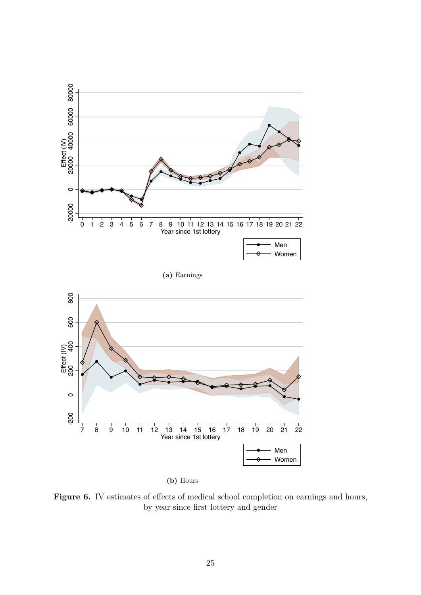

**(b)** Hours

Figure 6. IV estimates of effects of medical school completion on earnings and hours, by year since first lottery and gender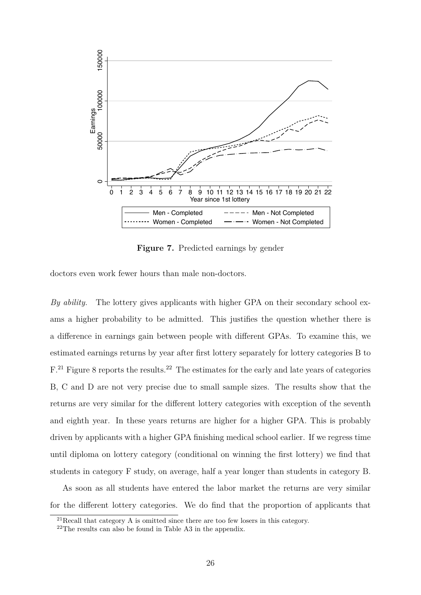

**Figure 7.** Predicted earnings by gender

doctors even work fewer hours than male non-doctors.

*By ability.* The lottery gives applicants with higher GPA on their secondary school exams a higher probability to be admitted. This justifies the question whether there is a difference in earnings gain between people with different GPAs. To examine this, we estimated earnings returns by year after first lottery separately for lottery categories B to  $F<sup>21</sup>$  Figure 8 reports the results.<sup>22</sup> The estimates for the early and late years of categories B, C and D are not very precise due to small sample sizes. The results show that the returns are very similar for the different lottery categories with exception of the seventh and eighth year. In these years returns are higher for a higher GPA. This is probably driven by applicants with a higher GPA finishing medical school earlier. If we regress time until diploma on lottery category (conditional on winning the first lottery) we find that students in category F study, on average, half a year longer than students in category B.

As soon as all students have entered the labor market the returns are very similar for the different lottery categories. We do find that the proportion of applicants that

<sup>21</sup>Recall that category A is omitted since there are too few losers in this category.

<sup>22</sup>The results can also be found in Table A3 in the appendix.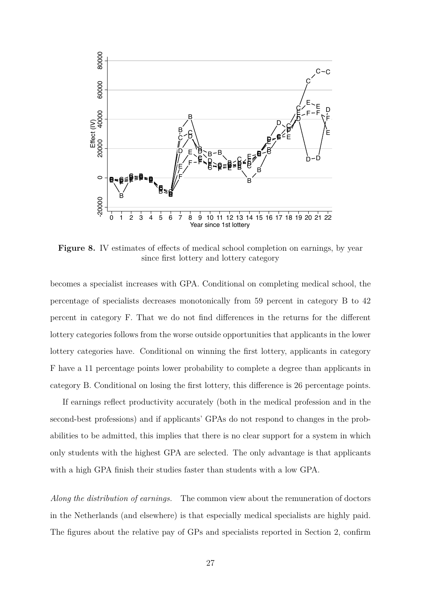

**Figure 8.** IV estimates of effects of medical school completion on earnings, by year since first lottery and lottery category

becomes a specialist increases with GPA. Conditional on completing medical school, the percentage of specialists decreases monotonically from 59 percent in category B to 42 percent in category F. That we do not find differences in the returns for the different lottery categories follows from the worse outside opportunities that applicants in the lower lottery categories have. Conditional on winning the first lottery, applicants in category F have a 11 percentage points lower probability to complete a degree than applicants in category B. Conditional on losing the first lottery, this difference is 26 percentage points.

If earnings reflect productivity accurately (both in the medical profession and in the second-best professions) and if applicants' GPAs do not respond to changes in the probabilities to be admitted, this implies that there is no clear support for a system in which only students with the highest GPA are selected. The only advantage is that applicants with a high GPA finish their studies faster than students with a low GPA.

*Along the distribution of earnings.* The common view about the remuneration of doctors in the Netherlands (and elsewhere) is that especially medical specialists are highly paid. The figures about the relative pay of GPs and specialists reported in Section 2, confirm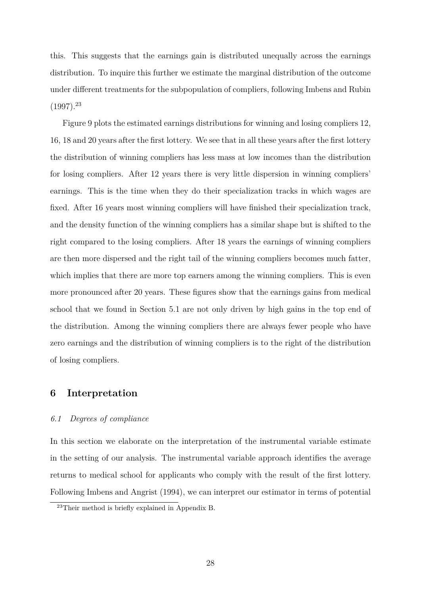this. This suggests that the earnings gain is distributed unequally across the earnings distribution. To inquire this further we estimate the marginal distribution of the outcome under different treatments for the subpopulation of compliers, following Imbens and Rubin  $(1997).^{23}$ 

Figure 9 plots the estimated earnings distributions for winning and losing compliers 12, 16, 18 and 20 years after the first lottery. We see that in all these years after the first lottery the distribution of winning compliers has less mass at low incomes than the distribution for losing compliers. After 12 years there is very little dispersion in winning compliers' earnings. This is the time when they do their specialization tracks in which wages are fixed. After 16 years most winning compliers will have finished their specialization track, and the density function of the winning compliers has a similar shape but is shifted to the right compared to the losing compliers. After 18 years the earnings of winning compliers are then more dispersed and the right tail of the winning compliers becomes much fatter, which implies that there are more top earners among the winning compliers. This is even more pronounced after 20 years. These figures show that the earnings gains from medical school that we found in Section 5.1 are not only driven by high gains in the top end of the distribution. Among the winning compliers there are always fewer people who have zero earnings and the distribution of winning compliers is to the right of the distribution of losing compliers.

# **6 Interpretation**

#### *6.1 Degrees of compliance*

In this section we elaborate on the interpretation of the instrumental variable estimate in the setting of our analysis. The instrumental variable approach identifies the average returns to medical school for applicants who comply with the result of the first lottery. Following Imbens and Angrist (1994), we can interpret our estimator in terms of potential

<sup>23</sup>Their method is briefly explained in Appendix B.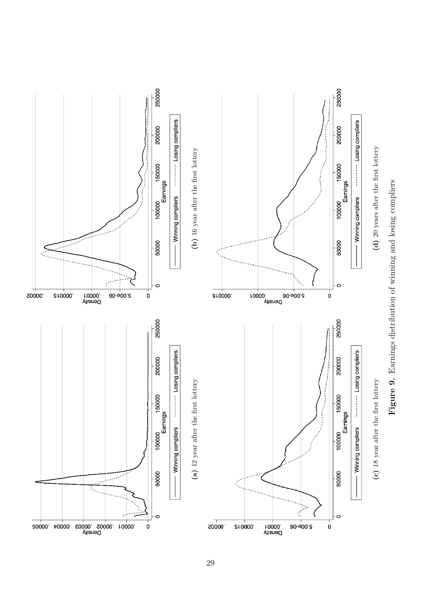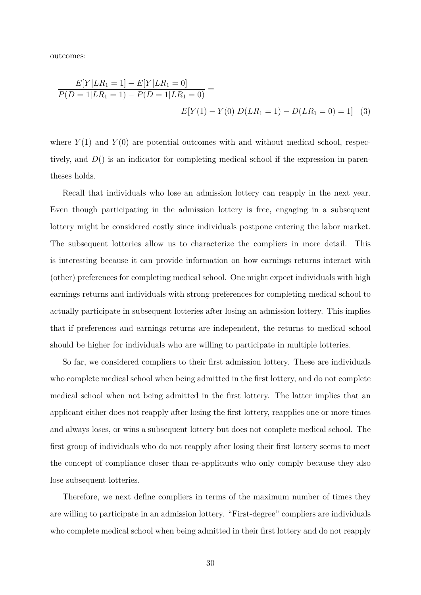outcomes:

$$
\frac{E[Y|LR_1 = 1] - E[Y|LR_1 = 0]}{P(D = 1|LR_1 = 1) - P(D = 1|LR_1 = 0)} =
$$
  

$$
E[Y(1) - Y(0)|D(LR_1 = 1) - D(LR_1 = 0) = 1]
$$
 (3)

where  $Y(1)$  and  $Y(0)$  are potential outcomes with and without medical school, respectively, and *D*() is an indicator for completing medical school if the expression in parentheses holds.

Recall that individuals who lose an admission lottery can reapply in the next year. Even though participating in the admission lottery is free, engaging in a subsequent lottery might be considered costly since individuals postpone entering the labor market. The subsequent lotteries allow us to characterize the compliers in more detail. This is interesting because it can provide information on how earnings returns interact with (other) preferences for completing medical school. One might expect individuals with high earnings returns and individuals with strong preferences for completing medical school to actually participate in subsequent lotteries after losing an admission lottery. This implies that if preferences and earnings returns are independent, the returns to medical school should be higher for individuals who are willing to participate in multiple lotteries.

So far, we considered compliers to their first admission lottery. These are individuals who complete medical school when being admitted in the first lottery, and do not complete medical school when not being admitted in the first lottery. The latter implies that an applicant either does not reapply after losing the first lottery, reapplies one or more times and always loses, or wins a subsequent lottery but does not complete medical school. The first group of individuals who do not reapply after losing their first lottery seems to meet the concept of compliance closer than re-applicants who only comply because they also lose subsequent lotteries.

Therefore, we next define compliers in terms of the maximum number of times they are willing to participate in an admission lottery. "First-degree" compliers are individuals who complete medical school when being admitted in their first lottery and do not reapply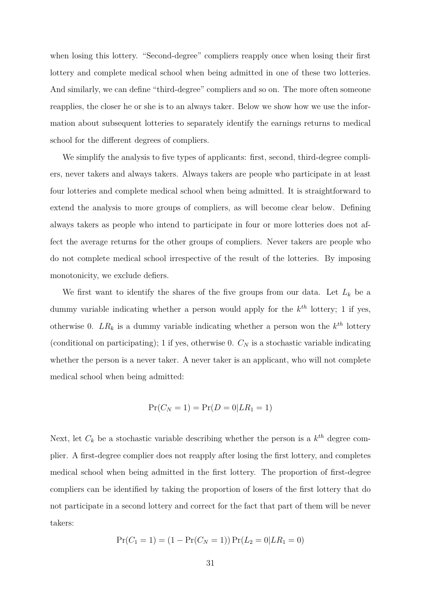when losing this lottery. "Second-degree" compliers reapply once when losing their first lottery and complete medical school when being admitted in one of these two lotteries. And similarly, we can define "third-degree" compliers and so on. The more often someone reapplies, the closer he or she is to an always taker. Below we show how we use the information about subsequent lotteries to separately identify the earnings returns to medical school for the different degrees of compliers.

We simplify the analysis to five types of applicants: first, second, third-degree compliers, never takers and always takers. Always takers are people who participate in at least four lotteries and complete medical school when being admitted. It is straightforward to extend the analysis to more groups of compliers, as will become clear below. Defining always takers as people who intend to participate in four or more lotteries does not affect the average returns for the other groups of compliers. Never takers are people who do not complete medical school irrespective of the result of the lotteries. By imposing monotonicity, we exclude defiers.

We first want to identify the shares of the five groups from our data. Let  $L_k$  be a dummy variable indicating whether a person would apply for the *k th* lottery; 1 if yes, otherwise 0.  $LR_k$  is a dummy variable indicating whether a person won the  $k^{th}$  lottery (conditional on participating); 1 if yes, otherwise 0. *C<sup>N</sup>* is a stochastic variable indicating whether the person is a never taker. A never taker is an applicant, who will not complete medical school when being admitted:

$$
\Pr(C_N = 1) = \Pr(D = 0 | LR_1 = 1)
$$

Next, let  $C_k$  be a stochastic variable describing whether the person is a  $k^{th}$  degree complier. A first-degree complier does not reapply after losing the first lottery, and completes medical school when being admitted in the first lottery. The proportion of first-degree compliers can be identified by taking the proportion of losers of the first lottery that do not participate in a second lottery and correct for the fact that part of them will be never takers:

$$
Pr(C_1 = 1) = (1 - Pr(C_N = 1)) Pr(L_2 = 0|LR_1 = 0)
$$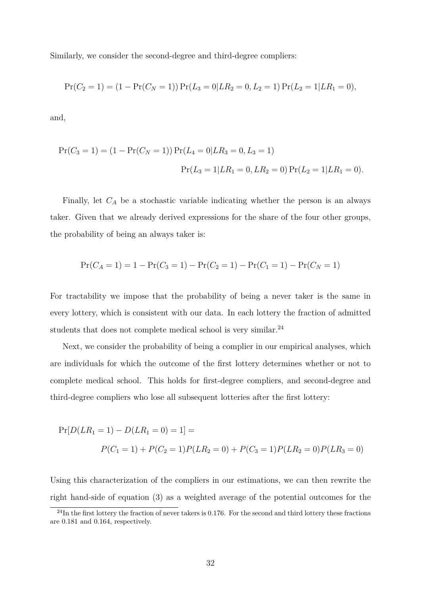Similarly, we consider the second-degree and third-degree compliers:

$$
Pr(C_2 = 1) = (1 - Pr(C_N = 1)) Pr(L_3 = 0|LR_2 = 0, L_2 = 1) Pr(L_2 = 1|LR_1 = 0),
$$

and,

$$
Pr(C_3 = 1) = (1 - Pr(C_N = 1)) Pr(L_4 = 0|LR_3 = 0, L_3 = 1)
$$

$$
Pr(L_3 = 1|LR_1 = 0, LR_2 = 0) Pr(L_2 = 1|LR_1 = 0).
$$

Finally, let  $C_A$  be a stochastic variable indicating whether the person is an always taker. Given that we already derived expressions for the share of the four other groups, the probability of being an always taker is:

$$
Pr(C_A = 1) = 1 - Pr(C_3 = 1) - Pr(C_2 = 1) - Pr(C_1 = 1) - Pr(C_N = 1)
$$

For tractability we impose that the probability of being a never taker is the same in every lottery, which is consistent with our data. In each lottery the fraction of admitted students that does not complete medical school is very similar.<sup>24</sup>

Next, we consider the probability of being a complier in our empirical analyses, which are individuals for which the outcome of the first lottery determines whether or not to complete medical school. This holds for first-degree compliers, and second-degree and third-degree compliers who lose all subsequent lotteries after the first lottery:

$$
Pr[D(LR_1 = 1) - D(LR_1 = 0) = 1] =
$$
  
 
$$
P(C_1 = 1) + P(C_2 = 1)P(LR_2 = 0) + P(C_3 = 1)P(LR_2 = 0)P(LR_3 = 0)
$$

Using this characterization of the compliers in our estimations, we can then rewrite the right hand-side of equation (3) as a weighted average of the potential outcomes for the

<sup>&</sup>lt;sup>24</sup>In the first lottery the fraction of never takers is 0.176. For the second and third lottery these fractions are 0.181 and 0.164, respectively.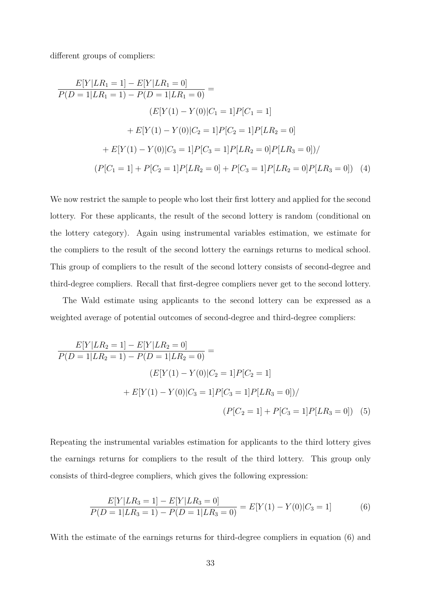different groups of compliers:

$$
\frac{E[Y|LR_1 = 1] - E[Y|LR_1 = 0]}{P(D = 1|LR_1 = 1) - P(D = 1|LR_1 = 0)} =
$$
\n
$$
(E[Y(1) - Y(0)|C_1 = 1]P[C_1 = 1]
$$
\n
$$
+ E[Y(1) - Y(0)|C_2 = 1]P[C_2 = 1]P[LR_2 = 0]
$$
\n
$$
+ E[Y(1) - Y(0)|C_3 = 1]P[C_3 = 1]P[LR_2 = 0]P[LR_3 = 0]) /
$$
\n
$$
(P[C_1 = 1] + P[C_2 = 1]P[LR_2 = 0] + P[C_3 = 1]P[LR_2 = 0]P[LR_3 = 0]) \tag{4}
$$

We now restrict the sample to people who lost their first lottery and applied for the second lottery. For these applicants, the result of the second lottery is random (conditional on the lottery category). Again using instrumental variables estimation, we estimate for the compliers to the result of the second lottery the earnings returns to medical school. This group of compliers to the result of the second lottery consists of second-degree and third-degree compliers. Recall that first-degree compliers never get to the second lottery.

The Wald estimate using applicants to the second lottery can be expressed as a weighted average of potential outcomes of second-degree and third-degree compliers:

$$
\frac{E[Y|LR_2=1]-E[Y|LR_2=0]}{P(D=1|LR_2=1)-P(D=1|LR_2=0)} =
$$
\n
$$
(E[Y(1)-Y(0)|C_2=1]P[C_2=1]
$$
\n
$$
+E[Y(1)-Y(0)|C_3=1]P[C_3=1]P[LR_3=0]) /
$$
\n
$$
(P[C_2=1]+P[C_3=1]P[LR_3=0]) \quad (5)
$$

Repeating the instrumental variables estimation for applicants to the third lottery gives the earnings returns for compliers to the result of the third lottery. This group only consists of third-degree compliers, which gives the following expression:

$$
\frac{E[Y|LR_3=1]-E[Y|LR_3=0]}{P(D=1|LR_3=1)-P(D=1|LR_3=0)}=E[Y(1)-Y(0)|C_3=1]
$$
(6)

With the estimate of the earnings returns for third-degree compliers in equation (6) and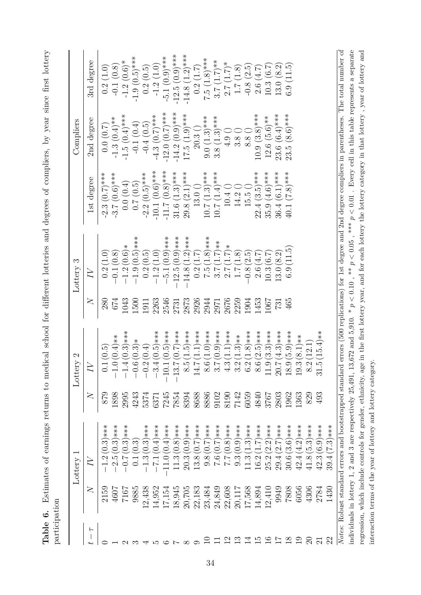Table 6. Estimates of earnings returns to medical school for different lotteries and degrees of compliers, by year since first lottery **Table 6.** Estimates of earnings returns to medical school for different lotteries and degrees of compliers, by year since first lottery participation

|               |                  | Lottery 1                                                                                                                                                                   |           | $\mathfrak{a}$<br>Lottery                                                      |            | Lottery 3                                   |                     | Compliers                        |                               |
|---------------|------------------|-----------------------------------------------------------------------------------------------------------------------------------------------------------------------------|-----------|--------------------------------------------------------------------------------|------------|---------------------------------------------|---------------------|----------------------------------|-------------------------------|
| $\frac{1}{2}$ | $\gtrsim$        |                                                                                                                                                                             | $\gtrsim$ |                                                                                | $\gtrsim$  | $\gtrsim$                                   | 1st degree          | 2nd degree                       | 3rd degree                    |
|               | 2159             | $(0.3)$ ***<br>$\frac{1.2}{1}$                                                                                                                                              | 879       | 0.1(0.5)                                                                       | 280        | (1.0)<br>0.2(                               | $-2.3(0.7)***$      | (0.0, 0.7)                       | 0.2(1.0)                      |
|               | 4607             | $(0.3)$ ***<br>2.5 <sub>1</sub>                                                                                                                                             | 1898      | $(0.4)**$                                                                      | 674        | $\overset{\text{\tiny (8)}}{0.8}$<br>$-0.1$ | $-3.7(0.6)$ ***     | $-1.3(0.4)$ **                   | $-0.1(0.8)$                   |
|               | 7167             | $(0.3)$ ***<br>$-0.7$                                                                                                                                                       | 2995      | $4(0.3)***$                                                                    | 1043       | $-1.2(0.6)*$                                | 0.0(0.4)            | $-1.5(0.4)$ ***                  | $-1.2(0.6)*$                  |
|               | 9885             | (0.3)<br>$\overline{0.1}$                                                                                                                                                   | 4243      | $.6(0.3)*$                                                                     | 1500       | $(0.5)$ ***<br>$-1.9($                      | (0.7)(0.5)          | $-0.1(0.4)$                      | $-1.9(0.5)***$                |
|               | 12,438           | $(0.3)***$<br>$-1.3$                                                                                                                                                        | 5374      | .2(0.4)                                                                        | 1911       | $\left(0.5\right)$<br>0.2(                  | $-2.2(0.5)$ ***     | $-0.4(0.5)$                      |                               |
|               | 14,952           | $(0.4)***$<br>$-7.1$                                                                                                                                                        | 637       | $4(0.5)***$<br>ణ                                                               | 2263       | (1.0)<br>$-1.2$                             | $-10.1(0.6)$ ***    | $-4.3(0.7)***$                   | $0.2(0.5)$<br>-1.2(1.0)       |
|               | 17,154           | $(0.4)$ ***<br>$-11.0($                                                                                                                                                     | 7245      | $1(0.5)***$                                                                    | 2546       | $(0.9)$ ***<br>$-5.1$                       | $-11.7(0.8)$ ***    | $-12.0(0.7)$ ***                 | $-5.1(0.9)$ ***               |
|               | 18,945           | $(0.8)***$<br>11.3(                                                                                                                                                         | 7854      | $(0.7)***$<br>$\overline{z}$<br>S                                              | 2731       | $-12.5(0.9)$ ***                            | $31.6(1.3)$ ***     | $-14.2(0.9)$ ***                 | $-12.5(0.9)$ ***              |
|               | 20,705           | $(0.9)$ ***<br>20.3(                                                                                                                                                        | 8394      | $(1.5)****$<br>ഹ<br>$\infty$                                                   | 2873       | $(1.2)****$<br>$-14.8$                      | $29.8(2.1)***$      | $17.5(1.9)***$                   | $-14.8(1.2)$ ***              |
|               |                  | $(0.7)***$<br>13.8                                                                                                                                                          | 8688      | $(1.1)***$<br>$\overline{z}$<br>$\overline{\mathcal{I}}$                       | 2926       | (7.L)<br>$\frac{2}{1}$                      | $13.0\left(\right)$ | 20.3()                           | 0.2(1.7)                      |
|               | 22,183<br>23,484 | $(0.7)***$<br>9.8                                                                                                                                                           | 8886      | $(1.0)****$<br>8.6 <sub>1</sub>                                                | 2944       | $(1.8)***$<br>7.5(                          | $10.7(1.3)$ ***     | $9.0(1.3)$ ***                   | $7.5(1.8)$ ***                |
|               | 24,849           | ) ***<br>(7.0)<br>0.57                                                                                                                                                      | 9102      | $(0.9)$ ***<br>$\mathord{\hspace{1pt}\text{--}\hspace{1pt}}$<br>$\ddot{\circ}$ | 2971       | $(1.7)$ **<br>3.7                           | $10.7 (1.4)$ ***    | $3.8(1.3)$ ***                   | $(1.7)$ **<br>$\frac{1}{3.7}$ |
| Z             | 22,608           | $(0.8)***$<br>7.7                                                                                                                                                           | 8190      | $(1.1)***$<br>$\overline{3}$                                                   | 2676       | $(1.7)$ *<br>2.7(                           | $10.4\ ()$          | $4.9\;\textcolor{red}{\bigcirc}$ | $2.7(1.7)$ *                  |
| ొ             | 20,117           | $(0.9)$ ***<br>9.3(                                                                                                                                                         | 7142      | $(1.3)**$<br>$\mathbf{\Omega}$<br>ကဲ                                           | 2259       | $\frac{8}{1.8}$<br>1.7(                     | 14.2                | $\frac{3.8}{ }$                  | (1.8)<br>$\frac{1.7}{5}$      |
|               | 17,568           | $(1.3)****$<br>11.3                                                                                                                                                         | 6059      | $(1.8)$ ***<br>$\overline{\mathcal{L}}$<br>$\dot{\circ}$                       | 1904       | (2.5)<br>0.8(                               | 15.5()              | 8.8()                            | $-0.8(2.5)$                   |
| ro            | 14,894           | ****<br>(1.7)<br>16.2(                                                                                                                                                      | 4840      | $(2.5)***$<br>$\overline{6}$<br>$\infty$                                       | 1453       | 2.6(4.7)                                    | $22.4(3.5)***$      | $10.9(3.8)$ ***                  | 2.6(4.7)                      |
| ≌             | 12,410           | ) ***<br>(2.2)<br>25.2(                                                                                                                                                     | 3767      | $(3.3)****$<br>$\overline{\circ}$<br>$\overline{\square}$                      | 1067       | (6.7)<br>10.3(                              | $35.9(4.6)$ ***     | $12.6(5.6)**$                    | 10.3(6.7)                     |
|               | 9949             | ***(<br>2.7)<br>2<br>29.4(                                                                                                                                                  | 2803      | $7(4.3)***$<br>$\Omega$                                                        | <b>731</b> | 13.0(8.2)                                   | $36.4(6.1)***$      | $23.6(6.4)***$                   | 13.0 (8.2)                    |
| $\infty$      | 7808             | $(3.6)***$<br>30.6(                                                                                                                                                         | 1962      | $(5.9)****$<br>$\overline{\circ}$<br>$\frac{8}{18}$                            | 465        | (11.5)<br>$\overline{6.9}$                  | $(7.8)$ ***<br>40.1 | $23.5(8.6)***$                   | 6.9(11.5)                     |
| ာ             | 6056             | $(4.2)***$<br>42.4(                                                                                                                                                         | 1363      | $3(8.1)**$<br>19.                                                              |            |                                             |                     |                                  |                               |
| $\rm{S}$      | 4306             | $(5.3)****$<br>41.8(                                                                                                                                                        | 829       | (12.1)<br>$\overline{\Omega}$<br>$\infty$                                      |            |                                             |                     |                                  |                               |
| $\mathcal{C}$ | 2784             | $(6.9)****$<br>42.3(                                                                                                                                                        | 493       | $5(15.4)**$                                                                    |            |                                             |                     |                                  |                               |
| 22            | 1430             | $39.4(7.3)***$                                                                                                                                                              |           |                                                                                |            |                                             |                     |                                  |                               |
|               |                  | Notes: Robust standard errors and bootstrapped standard errors (500 replications) for 1st degree and 2nd degree compliers in parentheses. The total number of               |           |                                                                                |            |                                             |                     |                                  |                               |
|               |                  | individuals in lottery 1, 2 and 3 are respectively 25,491, 13,672 and 5,910. * $p < 0.10$ , ** $p < 0.05$ , *** $p < 0.01$ . Every cell in this table represents a separate |           |                                                                                |            |                                             |                     |                                  |                               |

regression, which include controls for gender, ethnicity, age in the first lottery year, and for each lottery the lottery category in that lottery , year of lottery and

regression, which include controls for gender, ethnicity, age in the first lottery year, and for each lottery the lottery category in that lottery, year of lottery and

interaction terms of the year of lottery and lottery category.

interaction terms of the year of lottery and lottery category.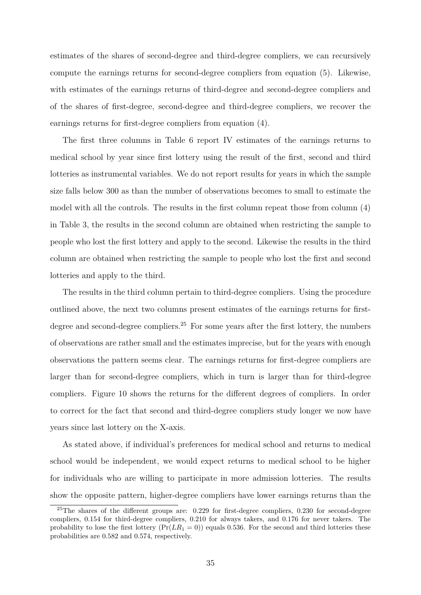estimates of the shares of second-degree and third-degree compliers, we can recursively compute the earnings returns for second-degree compliers from equation (5). Likewise, with estimates of the earnings returns of third-degree and second-degree compliers and of the shares of first-degree, second-degree and third-degree compliers, we recover the earnings returns for first-degree compliers from equation (4).

The first three columns in Table 6 report IV estimates of the earnings returns to medical school by year since first lottery using the result of the first, second and third lotteries as instrumental variables. We do not report results for years in which the sample size falls below 300 as than the number of observations becomes to small to estimate the model with all the controls. The results in the first column repeat those from column (4) in Table 3, the results in the second column are obtained when restricting the sample to people who lost the first lottery and apply to the second. Likewise the results in the third column are obtained when restricting the sample to people who lost the first and second lotteries and apply to the third.

The results in the third column pertain to third-degree compliers. Using the procedure outlined above, the next two columns present estimates of the earnings returns for firstdegree and second-degree compliers.<sup>25</sup> For some years after the first lottery, the numbers of observations are rather small and the estimates imprecise, but for the years with enough observations the pattern seems clear. The earnings returns for first-degree compliers are larger than for second-degree compliers, which in turn is larger than for third-degree compliers. Figure 10 shows the returns for the different degrees of compliers. In order to correct for the fact that second and third-degree compliers study longer we now have years since last lottery on the X-axis.

As stated above, if individual's preferences for medical school and returns to medical school would be independent, we would expect returns to medical school to be higher for individuals who are willing to participate in more admission lotteries. The results show the opposite pattern, higher-degree compliers have lower earnings returns than the

<sup>&</sup>lt;sup>25</sup>The shares of the different groups are: 0.229 for first-degree compliers, 0.230 for second-degree compliers, 0.154 for third-degree compliers, 0.210 for always takers, and 0.176 for never takers. The probability to lose the first lottery  $(\Pr(LR_1 = 0))$  equals 0.536. For the second and third lotteries these probabilities are 0.582 and 0.574, respectively.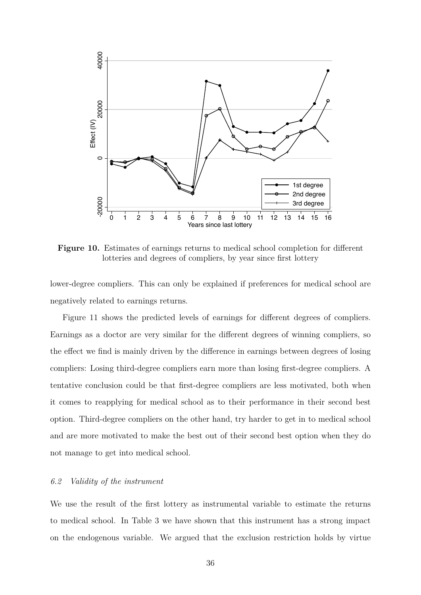

**Figure 10.** Estimates of earnings returns to medical school completion for different lotteries and degrees of compliers, by year since first lottery

lower-degree compliers. This can only be explained if preferences for medical school are negatively related to earnings returns.

Figure 11 shows the predicted levels of earnings for different degrees of compliers. Earnings as a doctor are very similar for the different degrees of winning compliers, so the effect we find is mainly driven by the difference in earnings between degrees of losing compliers: Losing third-degree compliers earn more than losing first-degree compliers. A tentative conclusion could be that first-degree compliers are less motivated, both when it comes to reapplying for medical school as to their performance in their second best option. Third-degree compliers on the other hand, try harder to get in to medical school and are more motivated to make the best out of their second best option when they do not manage to get into medical school.

#### *6.2 Validity of the instrument*

We use the result of the first lottery as instrumental variable to estimate the returns to medical school. In Table 3 we have shown that this instrument has a strong impact on the endogenous variable. We argued that the exclusion restriction holds by virtue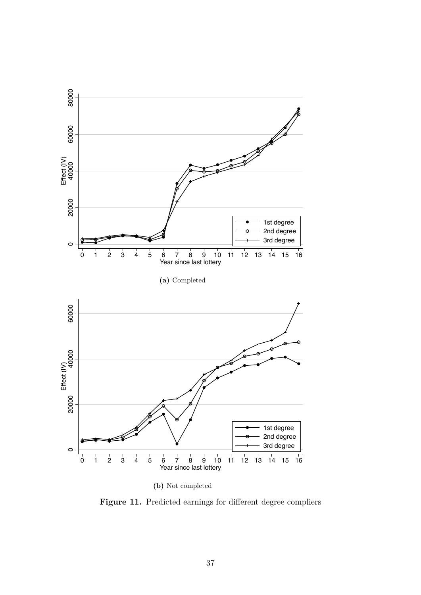

**(b)** Not completed

Figure 11. Predicted earnings for different degree compliers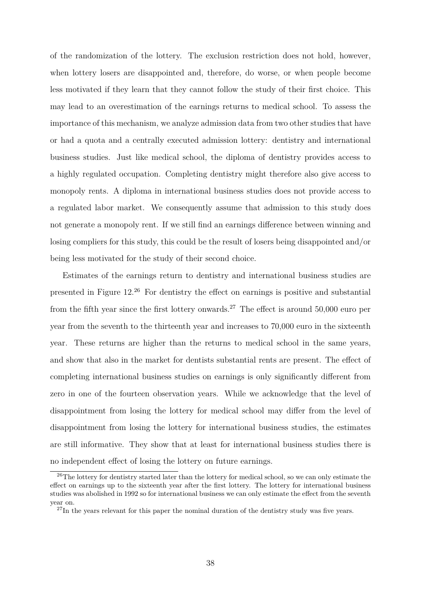of the randomization of the lottery. The exclusion restriction does not hold, however, when lottery losers are disappointed and, therefore, do worse, or when people become less motivated if they learn that they cannot follow the study of their first choice. This may lead to an overestimation of the earnings returns to medical school. To assess the importance of this mechanism, we analyze admission data from two other studies that have or had a quota and a centrally executed admission lottery: dentistry and international business studies. Just like medical school, the diploma of dentistry provides access to a highly regulated occupation. Completing dentistry might therefore also give access to monopoly rents. A diploma in international business studies does not provide access to a regulated labor market. We consequently assume that admission to this study does not generate a monopoly rent. If we still find an earnings difference between winning and losing compliers for this study, this could be the result of losers being disappointed and/or being less motivated for the study of their second choice.

Estimates of the earnings return to dentistry and international business studies are presented in Figure 12.<sup>26</sup> For dentistry the effect on earnings is positive and substantial from the fifth year since the first lottery onwards.<sup>27</sup> The effect is around 50,000 euro per year from the seventh to the thirteenth year and increases to 70,000 euro in the sixteenth year. These returns are higher than the returns to medical school in the same years, and show that also in the market for dentists substantial rents are present. The effect of completing international business studies on earnings is only significantly different from zero in one of the fourteen observation years. While we acknowledge that the level of disappointment from losing the lottery for medical school may differ from the level of disappointment from losing the lottery for international business studies, the estimates are still informative. They show that at least for international business studies there is no independent effect of losing the lottery on future earnings.

 $26$ The lottery for dentistry started later than the lottery for medical school, so we can only estimate the effect on earnings up to the sixteenth year after the first lottery. The lottery for international business studies was abolished in 1992 so for international business we can only estimate the effect from the seventh year on.

<sup>&</sup>lt;sup>27</sup>In the years relevant for this paper the nominal duration of the dentistry study was five years.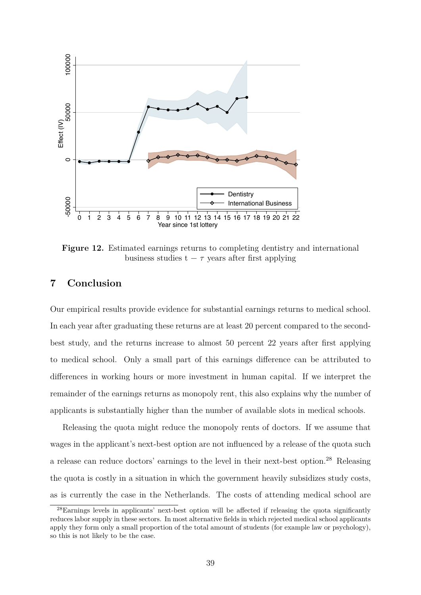

**Figure 12.** Estimated earnings returns to completing dentistry and international business studies  $t - \tau$  years after first applying

# **7 Conclusion**

Our empirical results provide evidence for substantial earnings returns to medical school. In each year after graduating these returns are at least 20 percent compared to the secondbest study, and the returns increase to almost 50 percent 22 years after first applying to medical school. Only a small part of this earnings difference can be attributed to differences in working hours or more investment in human capital. If we interpret the remainder of the earnings returns as monopoly rent, this also explains why the number of applicants is substantially higher than the number of available slots in medical schools.

Releasing the quota might reduce the monopoly rents of doctors. If we assume that wages in the applicant's next-best option are not influenced by a release of the quota such a release can reduce doctors' earnings to the level in their next-best option.<sup>28</sup> Releasing the quota is costly in a situation in which the government heavily subsidizes study costs, as is currently the case in the Netherlands. The costs of attending medical school are

<sup>28</sup>Earnings levels in applicants' next-best option will be affected if releasing the quota significantly reduces labor supply in these sectors. In most alternative fields in which rejected medical school applicants apply they form only a small proportion of the total amount of students (for example law or psychology), so this is not likely to be the case.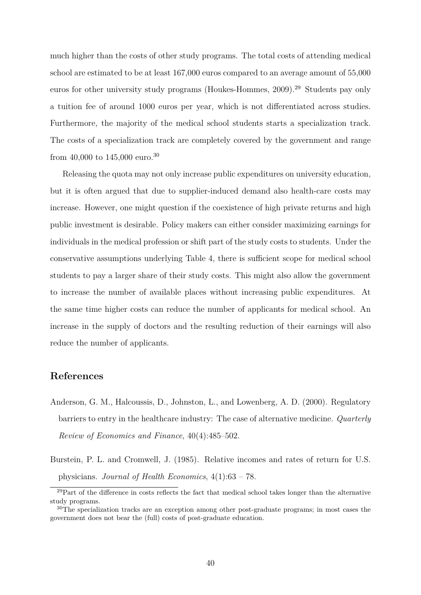much higher than the costs of other study programs. The total costs of attending medical school are estimated to be at least 167,000 euros compared to an average amount of 55,000 euros for other university study programs (Houkes-Hommes, 2009).<sup>29</sup> Students pay only a tuition fee of around 1000 euros per year, which is not differentiated across studies. Furthermore, the majority of the medical school students starts a specialization track. The costs of a specialization track are completely covered by the government and range from 40,000 to 145,000 euro.<sup>30</sup>

Releasing the quota may not only increase public expenditures on university education, but it is often argued that due to supplier-induced demand also health-care costs may increase. However, one might question if the coexistence of high private returns and high public investment is desirable. Policy makers can either consider maximizing earnings for individuals in the medical profession or shift part of the study costs to students. Under the conservative assumptions underlying Table 4, there is sufficient scope for medical school students to pay a larger share of their study costs. This might also allow the government to increase the number of available places without increasing public expenditures. At the same time higher costs can reduce the number of applicants for medical school. An increase in the supply of doctors and the resulting reduction of their earnings will also reduce the number of applicants.

# **References**

- Anderson, G. M., Halcoussis, D., Johnston, L., and Lowenberg, A. D. (2000). Regulatory barriers to entry in the healthcare industry: The case of alternative medicine. *Quarterly Review of Economics and Finance*, 40(4):485–502.
- Burstein, P. L. and Cromwell, J. (1985). Relative incomes and rates of return for U.S. physicians. *Journal of Health Economics*, 4(1):63 – 78.

 $^{29}$ Part of the difference in costs reflects the fact that medical school takes longer than the alternative study programs.

<sup>30</sup>The specialization tracks are an exception among other post-graduate programs; in most cases the government does not bear the (full) costs of post-graduate education.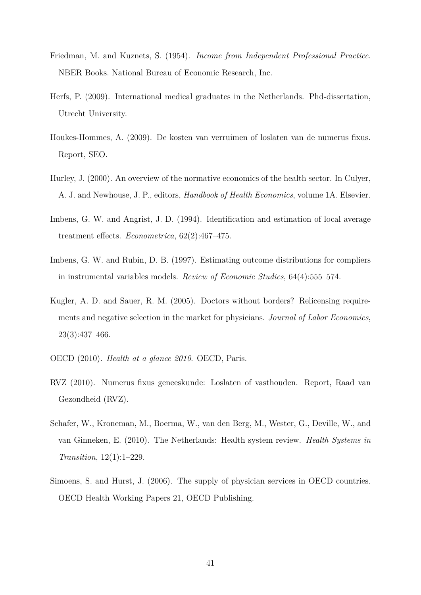- Friedman, M. and Kuznets, S. (1954). *Income from Independent Professional Practice*. NBER Books. National Bureau of Economic Research, Inc.
- Herfs, P. (2009). International medical graduates in the Netherlands. Phd-dissertation, Utrecht University.
- Houkes-Hommes, A. (2009). De kosten van verruimen of loslaten van de numerus fixus. Report, SEO.
- Hurley, J. (2000). An overview of the normative economics of the health sector. In Culyer, A. J. and Newhouse, J. P., editors, *Handbook of Health Economics*, volume 1A. Elsevier.
- Imbens, G. W. and Angrist, J. D. (1994). Identification and estimation of local average treatment effects. *Econometrica*, 62(2):467–475.
- Imbens, G. W. and Rubin, D. B. (1997). Estimating outcome distributions for compliers in instrumental variables models. *Review of Economic Studies*, 64(4):555–574.
- Kugler, A. D. and Sauer, R. M. (2005). Doctors without borders? Relicensing requirements and negative selection in the market for physicians. *Journal of Labor Economics*, 23(3):437–466.
- OECD (2010). *Health at a glance 2010*. OECD, Paris.
- RVZ (2010). Numerus fixus geneeskunde: Loslaten of vasthouden. Report, Raad van Gezondheid (RVZ).
- Schafer, W., Kroneman, M., Boerma, W., van den Berg, M., Wester, G., Deville, W., and van Ginneken, E. (2010). The Netherlands: Health system review. *Health Systems in Transition*, 12(1):1–229.
- Simoens, S. and Hurst, J. (2006). The supply of physician services in OECD countries. OECD Health Working Papers 21, OECD Publishing.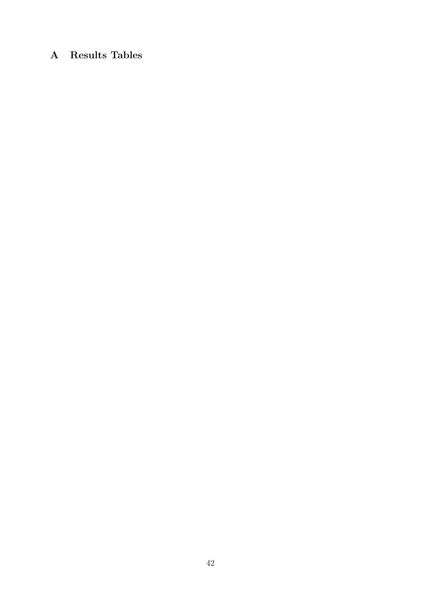# **A Results Tables**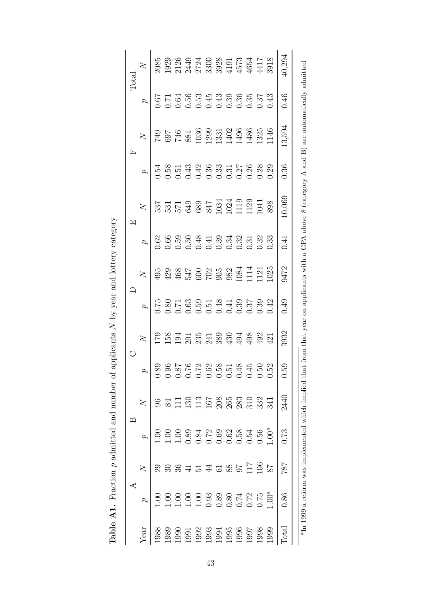|                                           | ⋖                                                                                |                | $\approx$                                                        |                   |      |                |          |                |          | 囜                                                                                        |      | Œ                                                                                    |          | Tota           |
|-------------------------------------------|----------------------------------------------------------------------------------|----------------|------------------------------------------------------------------|-------------------|------|----------------|----------|----------------|----------|------------------------------------------------------------------------------------------|------|--------------------------------------------------------------------------------------|----------|----------------|
| Year                                      |                                                                                  | $\overline{X}$ |                                                                  |                   |      | $\overline{X}$ | $\sigma$ | $\overline{X}$ | $\sigma$ | $\overline{X}$                                                                           |      | $\overline{X}$                                                                       | $\sigma$ | $\overline{X}$ |
| 1988                                      | Š                                                                                | 29             |                                                                  |                   | 0.89 | 62             |          |                |          |                                                                                          | 0.54 |                                                                                      |          | 2085           |
| 1989                                      | 60                                                                               | $\Im$          |                                                                  | S <sub>4</sub>    | 0.96 |                |          |                |          |                                                                                          |      |                                                                                      |          |                |
|                                           | 1.00                                                                             | 36             |                                                                  | $\Xi$             | 187  |                |          |                |          | 537<br>531 539<br>539 847<br>639 847<br>531 1020<br>1021 1041                            |      | 749<br>697<br>697 380 399<br>746 3030 31<br>740 329<br>740 329<br>740 329<br>740 329 |          |                |
| 1990<br>1993 34<br>1993 1996<br>1996 1996 | 1.00                                                                             |                | $\begin{array}{c} 1.00 \\ 0.89 \\ 0.84 \end{array}$              | 130               | 0.76 |                |          |                |          |                                                                                          |      |                                                                                      |          |                |
|                                           | 1.00                                                                             | $\Xi$          |                                                                  | 113               | 0.72 |                |          |                |          |                                                                                          |      |                                                                                      |          |                |
|                                           |                                                                                  | $\sharp$       |                                                                  | 167               | 0.62 |                |          |                |          |                                                                                          |      |                                                                                      |          |                |
|                                           | $\begin{array}{c} 0.75 \\ 0.80 \\ 0.080 \\ 0.772 \\ 0.00 \\ 0.01 \\ \end{array}$ |                | $0.72$<br>0.69<br>0.62                                           |                   | 0.58 |                |          |                |          |                                                                                          |      |                                                                                      |          |                |
|                                           |                                                                                  | 588            |                                                                  | 208<br>265<br>283 | 0.51 |                |          |                |          |                                                                                          |      |                                                                                      |          |                |
|                                           |                                                                                  |                | 0.58                                                             |                   | 0.48 |                |          |                |          |                                                                                          |      |                                                                                      |          |                |
|                                           |                                                                                  | 711            | 0.54                                                             | 310               | 0.45 |                |          |                |          |                                                                                          |      |                                                                                      |          |                |
| 1998                                      |                                                                                  | 106            | 0.56                                                             | 3341              | 0.50 |                |          |                |          |                                                                                          |      |                                                                                      |          |                |
| 1999                                      | $00^a$                                                                           | $28$           | $00^a$                                                           |                   | 0.52 | $\overline{1}$ | 0.42     |                |          | 898                                                                                      | 0.29 |                                                                                      |          |                |
| otal                                      | 0.86                                                                             | 787            | 0.73                                                             | 2440              | 0.59 | 3932           | 0.49     | 9472           | 0.41     | 0,069                                                                                    | 0.36 | 13,594                                                                               | 0.46     | 10,294         |
|                                           |                                                                                  |                | <sup>a</sup> In 1999 a reform was implemented which implied that |                   | from |                |          |                |          | that year on applicants with a GPA above 8 (category A and B) are automatically admitted |      |                                                                                      |          |                |

Table A1. Fraction  $p$  admitted and number of applicants  $N$  by year and lottery category **Table A1.** Fraction *p* admitted and number of applicants *N* by year and lottery category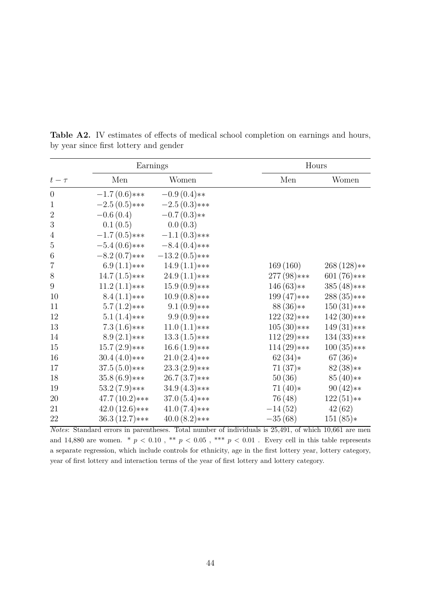|                  | Earnings        |                 | Hours         |               |
|------------------|-----------------|-----------------|---------------|---------------|
| $t-\tau$         | Men             | Women           | Men           | Women         |
| $\theta$         | $-1.7(0.6)***$  | $-0.9(0.4)**$   |               |               |
| $\mathbf{1}$     | $-2.5(0.5)***$  | $-2.5(0.3)***$  |               |               |
| $\overline{2}$   | $-0.6(0.4)$     | $-0.7(0.3)**$   |               |               |
| $\boldsymbol{3}$ | 0.1(0.5)        | 0.0(0.3)        |               |               |
| 4                | $-1.7(0.5)***$  | $-1.1(0.3)***$  |               |               |
| $\mathbf 5$      | $-5.4(0.6)***$  | $-8.4(0.4)$ *** |               |               |
| $\boldsymbol{6}$ | $-8.2(0.7)***$  | $-13.2(0.5)***$ |               |               |
| $\overline{7}$   | $6.9(1.1)***$   | $14.9(1.1)***$  | 169(160)      | $268(128)**$  |
| $8\,$            | $14.7(1.5)***$  | $24.9(1.1)***$  | $277(98)$ *** | $601(76)***$  |
| 9                | $11.2(1.1)***$  | $15.9(0.9)***$  | $146(63)**$   | $385(48)$ *** |
| 10               | $8.4(1.1)***$   | $10.9(0.8)***$  | $199(47)***$  | $288(35)****$ |
| 11               | $5.7(1.2)***$   | $9.1(0.9)***$   | $88(36)**$    | $150(31)$ *** |
| 12               | $5.1(1.4)***$   | $9.9(0.9)***$   | $122(32)***$  | $142(30)***$  |
| 13               | $7.3(1.6)***$   | $11.0(1.1)***$  | $105(30)***$  | $149(31)***$  |
| 14               | $8.9(2.1)***$   | $13.3(1.5)***$  | $112(29)$ *** | $134(33)****$ |
| 15               | $15.7(2.9)$ *** | $16.6(1.9)***$  | $114(29)$ *** | $100(35)****$ |
| 16               | $30.4(4.0)***$  | $21.0(2.4)$ *** | $62(34)*$     | $67(36)*$     |
| 17               | $37.5(5.0)***$  | $23.3(2.9)***$  | $71(37)*$     | $82(38)**$    |
| 18               | $35.8(6.9)***$  | $26.7(3.7)****$ | 50(36)        | $85(40)**$    |
| 19               | $53.2(7.9)***$  | $34.9(4.3)***$  | $71(40)*$     | $90(42)**$    |
| 20               | $47.7(10.2)***$ | $37.0(5.4)$ *** | 76 (48)       | $122(51)**$   |
| 21               | $42.0(12.6)***$ | $41.0(7.4)***$  | $-14(52)$     | 42(62)        |
| 22               | $36.3(12.7)***$ | $40.0(8.2)***$  | $-35(68)$     | $151(85)*$    |

Table A2. IV estimates of effects of medical school completion on earnings and hours, by year since first lottery and gender

*Notes*: Standard errors in parentheses. Total number of individuals is 25,491, of which 10,661 are men and 14,880 are women.  $*$   $p < 0.10$ ,  $**$   $p < 0.05$ ,  $***$   $p < 0.01$ . Every cell in this table represents a separate regression, which include controls for ethnicity, age in the first lottery year, lottery category, year of first lottery and interaction terms of the year of first lottery and lottery category.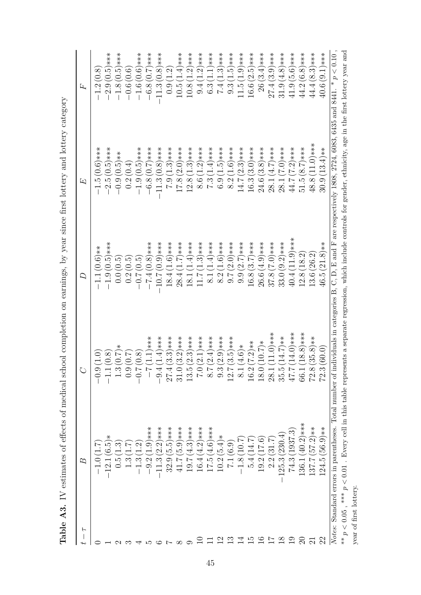Table A3. IV estimates of effects of medical school completion on earnings, by year since first lottery and lottery category **Table A3.** IV estimates of effects of medical school completion on earnings, by year since first lottery and lottery category

| F                      | ∞                                | ↺                               | ₽                                                                                                                                                                | 凵                               | 乓                              |
|------------------------|----------------------------------|---------------------------------|------------------------------------------------------------------------------------------------------------------------------------------------------------------|---------------------------------|--------------------------------|
|                        |                                  | (1.0)<br>ာ<br>၁                 | $-1.1(0.6)*$                                                                                                                                                     | $-1.5(0.6)$ ***                 | $-1.2(0.8)$                    |
|                        | رة.<br>أن<br>$-12.1$             | (0.8)                           | $(0.5)$ ***<br>$-1.9($                                                                                                                                           | $-2.5(0.5)$ ***                 | $-2.9(0.5)***$                 |
|                        | ಌ<br>С.<br>О                     | $*(0.7) *$                      | $\left( 0.5\right)$<br>$\sim 0.0$                                                                                                                                | $-0.5$ <sup>**</sup>            | $(0.5)$ ***<br>$-1.8($         |
|                        | نې<br>پ                          | (1.0)<br><u>့</u><br>၁          | $\widetilde{0}.5$<br>0.2                                                                                                                                         | (0.4)<br>0.2(                   | $-0.6(0.6)$                    |
|                        | Ċ.                               | (0.8)<br>$\sim$                 | $\widetilde{0}.0$<br>$-0.7$                                                                                                                                      | $(0.5)$ ***<br>$-1.9$           | $(0.6)$ ***<br>$-1.6($         |
|                        | $1.9$ ***<br>$\mathcal{C}$<br>ာ့ | $(1.1)****$                     | $-7.4(0.8)$ ***                                                                                                                                                  | $-6.8(0.7)$ ***                 | $-6.8(0.7)*$ **                |
|                        | $(2.2)***$<br>$\ddot{\cdot}$     | $(1.4)****$<br>$-9.4$           | $-10.7(0.9)$ ***                                                                                                                                                 | $-11.3(0.8)$ ***                | $-11.3(0.8)$ ***               |
|                        | $(5.5)****$<br>32.9 <sub>0</sub> | $(3.3)***$<br>27.4              | $(1.6)$ ***<br>18.4                                                                                                                                              | $(1.3)****$<br>$-6.7$           | (1.2)<br>$\overline{0.9}$      |
|                        | $(5.9)$ ***<br>41.7(             | $(3.2)***$<br>31.0              | $(1.7)****$<br>28.4(                                                                                                                                             | $(2.0)***$<br>17.8              | $(1.4)****$<br>10.5(           |
|                        | $(4.3)****$<br>19.7(             | $(2.3)****$<br>13.5             | $(1.4)***$<br>18.1 <sub>1</sub>                                                                                                                                  | $(1.3)****$<br>12.8(            | $(1.2)****$<br>10.8            |
|                        | $16.4(4.2)***$                   | $(2.1)***$<br>$\overline{C}$    | $(1.3)***$                                                                                                                                                       | $(1.2)***$<br>8.6(              | $(1.2)***$<br>9.4              |
|                        | $4.6$ )***<br>17.5(              | $(2.4)***$<br>$\frac{1}{8}$     | $(1.4)****$<br>$\overline{8.1}$                                                                                                                                  | $(1.4)****$<br>7.3              | $(1.1)***$<br>6.3 <sub>0</sub> |
|                        | $(5.4)*$<br>10.2 <sub>1</sub>    | $(2.9)****$<br>$9.\overline{3}$ | $(1.6)***$<br>8.2                                                                                                                                                | $(1.5)****$<br>6.9              | $(1.3)****$<br>$\overline{14}$ |
|                        | 7.1(6.9)                         | $(3.5)$ ***<br>12.7             | $(2.0)***$<br>0.7(                                                                                                                                               | $(1.6)****$<br>8.2 <sub>1</sub> | $(1.5)***$<br>9.3(             |
|                        | 7.01<br>$-1.8$                   | $(4.6)*$<br>$\frac{1}{8}$       | $9.9(2.7)***$                                                                                                                                                    | $14.7(2.3)***$                  | $(1.9)****$<br>11.5(           |
|                        | 14.7<br>5.4                      | $(7.2)**$<br>16.2               | $16.8(3.7)***$                                                                                                                                                   | $(3.0)***$<br>16.3 <sub>0</sub> | $(2.5)****$<br>16.6            |
|                        | (17.6)<br>19.2(                  | $(10.7)$ *<br>18.0              | $26.6(4.9)$ ***                                                                                                                                                  | $24.6(3.8)***$                  | $26(3.4)***$                   |
|                        | (31.7<br>2.2(                    | $(11.0)***$<br>28.1             | $(7.0)***$<br>37.8                                                                                                                                               | $28.1(4.7)***$                  | $(3.9)****$<br>27.4(           |
| $\infty$               | 230<br>$-125.3$                  | $(14.7)**$<br>35.5              | $33.0(9.2)***$                                                                                                                                                   | $(***(0.7)$<br>28.1(            | $(4.8)***$<br>31.9(            |
|                        | 1937.3<br>74.3(                  | $(14.0)****$<br>$47.7$          | $40.4(11.9)***$                                                                                                                                                  | $44.7(7.2)***$                  | $41.9(5.6)***$                 |
| $\mathbb{S}$           | $136.1(40.2)***$                 | $(18.8)***$<br><b>66.1</b>      | (18.2)<br>12.8(                                                                                                                                                  | $(8.7)****$<br>51.5(            | $(6.8)$ ***<br>44.2 (          |
|                        | $(57.2)**$<br>137.7(             | $(35.8)**$<br>72.8              | (26.2)<br>13.6 <sub>0</sub>                                                                                                                                      | $(11.0)***$<br>48.8             | $(8.3)***$<br>44.4(            |
| $\Omega$               | $124.5(56.9)**$                  | (60.0<br>72.3                   | $46.5(21.8)**$                                                                                                                                                   | $30.9(13.4)**$                  | $40.6(9.1)***$                 |
|                        |                                  |                                 | Notes: Standard errors in parentheses. Total number of individuals in categories B, C, D, E and F are respectively 1808, 2724, 6083, 6435 and 8441. * $p < 0.10$ |                                 |                                |
| ** $p < 0.05$ .        |                                  |                                 | *** $p < 0.01$ . Every cell in this table represents a separate regression, which include controls for gender, ethnicity, age in the first lottery year and      |                                 |                                |
| year of first lottery. |                                  |                                 |                                                                                                                                                                  |                                 |                                |